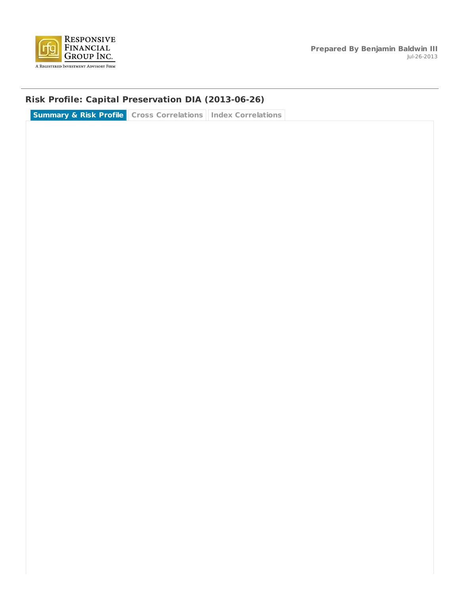

### **Risk Profile: Capital Preservation DIA (2013-06-26)**

**Summary & Risk Profile Cross Correlations Index Correlations**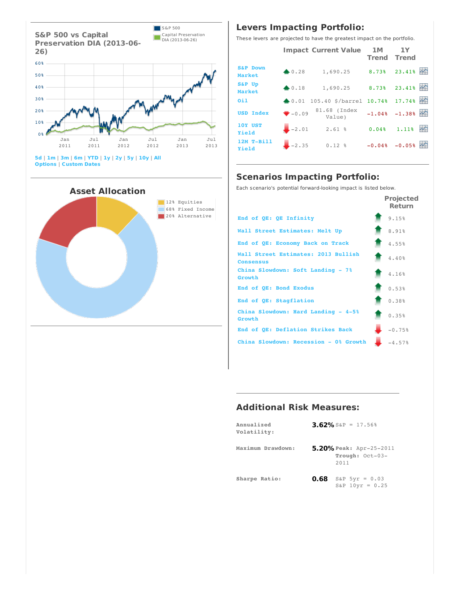



### **Levers Impacting Portfolio:**

These levers are projected to have the greatest impact on the portfolio.

|                               |                  |                  | <b>Impact Current Value 1M</b>         | <b>Trend Trend</b> | 1Y               |                    |
|-------------------------------|------------------|------------------|----------------------------------------|--------------------|------------------|--------------------|
| <b>S&amp;P Down</b><br>Market |                  | $\triangle 0.28$ | 1,690.25                               | $8.73%$ 23.41%     |                  |                    |
| <b>S&amp;P Up</b><br>Market   |                  | $\triangle 0.18$ | $1,690.25$ 8.73% 23.41%                |                    |                  |                    |
| 0i1                           |                  |                  | 40.01 105.40 \$/barrel 10.74% 17.74% 2 |                    |                  |                    |
|                               | <b>USD Index</b> | $-0.09$          | 81.68 (Index<br>Value)                 |                    | $-1.048 - 1.388$ |                    |
| 10Y UST<br>Yield              |                  |                  | $-2.01$ 2.61 %                         | $0.048$ 1.11%      |                  | $\rightsquigarrow$ |
| Yield                         | 12M T-Bill       | $-2.35$          | $0.12$ % $-0.04$ % $-0.05$ %           |                    |                  |                    |

### **Scenarios Impacting Portfolio:**

Each scenario's potential forward-looking impact is listed below.

|                                                         | <b>Projected</b><br><b>Return</b> |
|---------------------------------------------------------|-----------------------------------|
| End of QE: QE Infinity                                  | 9.15%                             |
| Wall Street Estimates: Melt Up                          | 8.91%                             |
| End of QE: Economy Back on Track                        | 4.55%                             |
| Wall Street Estimates: 2013 Bullish<br><b>Consensus</b> | 4.40%                             |
| China Slowdown: Soft Landing - 7%<br>Growth             | 4.16%                             |
| End of OE: Bond Exodus                                  | 0.53%                             |
| End of OE: Stagflation                                  | 0.38%                             |
| China Slowdown: Hard Landing - 4-5%<br>Growth           | 0.35%                             |
| End of OE: Deflation Strikes Back                       | $-0.75%$                          |
| China Slowdown: Recession - 0% Growth                   | $-4.57%$                          |

### **Additional Risk Measures:**

| Annualized<br>Volatility: | 3.62% S&P = 17.56%                                 |  |  |  |
|---------------------------|----------------------------------------------------|--|--|--|
| Maximum Drawdown:         | 5.20% Peak: Apr-25-2011<br>Trough: Oct-03-<br>2011 |  |  |  |
| Sharpe Ratio:             | <b>0.68</b> S&P 5yr = 0.03<br>$S\&P$ 10yr = 0.25   |  |  |  |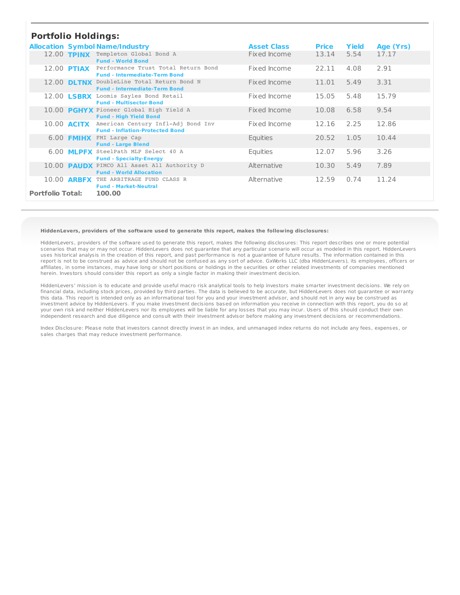### **Portfolio Holdings:**

| <u>FUILIUIIU HUIUIIIYJI</u> |                    |                                                                                    |                    |              |              |           |
|-----------------------------|--------------------|------------------------------------------------------------------------------------|--------------------|--------------|--------------|-----------|
|                             |                    | <b>Allocation Symbol Name/Industry</b>                                             | <b>Asset Class</b> | <b>Price</b> | <b>Yield</b> | Age (Yrs) |
|                             |                    | 12.00 TPINX Templeton Global Bond A<br><b>Fund - World Bond</b>                    | Fixed Income       | 13.14        | 5.54         | 17.17     |
|                             | 12.00 <b>PTIAX</b> | Performance Trust Total Return Bond<br><b>Fund - Intermediate-Term Bond</b>        | Fixed Income       | 22.11        | 4.08         | 2.91      |
|                             |                    | 12.00 DLTNX DoubleLine Total Return Bond N<br><b>Fund - Intermediate-Term Bond</b> | Fixed Income       | 11.01        | 5.49         | 3.31      |
|                             | 12.00 <b>LSBRX</b> | Loomis Sayles Bond Retail<br><b>Fund - Multisector Bond</b>                        | Fixed Income       | 15.05        | 5.48         | 15.79     |
|                             |                    | 10.00 PGHYX Pioneer Global High Yield A<br><b>Fund - High Yield Bond</b>           | Fixed Income       | 10.08        | 6.58         | 9.54      |
|                             | 10.00 <b>ACITX</b> | American Century Infl-Adj Bond Inv<br><b>Fund - Inflation-Protected Bond</b>       | Fixed Income       | 12.16        | 2.25         | 12.86     |
|                             | 6.00 <b>FMIHX</b>  | FMI Large Cap<br><b>Fund - Large Blend</b>                                         | Equities           | 20.52        | 1.05         | 10.44     |
|                             | 6.00 <b>MLPFX</b>  | SteelPath MLP Select 40 A<br><b>Fund - Specialty-Energy</b>                        | <b>Equities</b>    | 12.07        | 5.96         | 3.26      |
|                             |                    | 10.00 PAUDX PIMCO All Asset All Authority D<br><b>Fund - World Allocation</b>      | Alternative        | 10.30        | 5.49         | 7.89      |
|                             | 10.00 <b>ARBFX</b> | THE ARBITRAGE FUND CLASS R<br><b>Fund - Market-Neutral</b>                         | Alternative        | 12.59        | 0.74         | 11.24     |
| <b>Portfolio Total:</b>     |                    | 100.00                                                                             |                    |              |              |           |

#### **HiddenLevers, providers of the software used to generate this report, makes the following disclosures:**

HiddenLevers, providers of the software used to generate this report, makes the following disclosures: This report describes one or more potential scenarios that may or may not occur. HiddenLevers does not guarantee that any particular scenario will occur as modeled in this report. HiddenLevers uses historical analysis in the creation of this report, and past performance is not a guarantee of future results. The information contained in this report is not to be construed as advice and should not be confused as any sort of advice. GxWorks LLC (dba HiddenLevers), its employees, officers or affiliates, in some instances, may have long or short positions or holdings in the securities or other related investments of companies mentioned herein. Investors should consider this report as only a single factor in making their investment decision.

HiddenLevers' mission is to educate and provide useful macro risk analytical tools to help investors make smarter investment decisions. We rely on financial data, including stock prices, provided by third parties. The data is believed to be accurate, but HiddenLevers does not guarantee or warranty this data. This report is intended only as an informational tool for you and your investment advisor, and should not in any way be construed as investment advice by HiddenLevers. If you make investment decisions based on information you receive in connection with this report, you do so at your own risk and neither HiddenLevers nor its employees will be liable for any losses that you may incur. Users of this should conduct their own independent research and due diligence and consult with their investment advisor before making any investment decisions or recommendations.

Index Disclosure: Please note that investors cannot directly invest in an index, and unmanaged index returns do not include any fees, expenses, or sales charges that may reduce investment performance.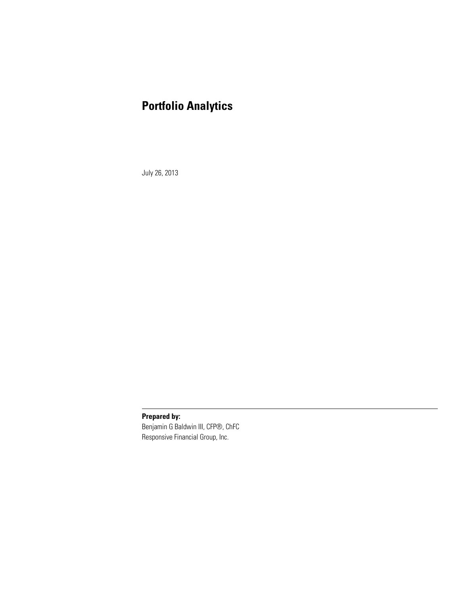# **Portfolio Analytics**

July 26, 2013

**Prepared by:**

Benjamin G Baldwin III, CFP®, ChFC Responsive Financial Group, Inc.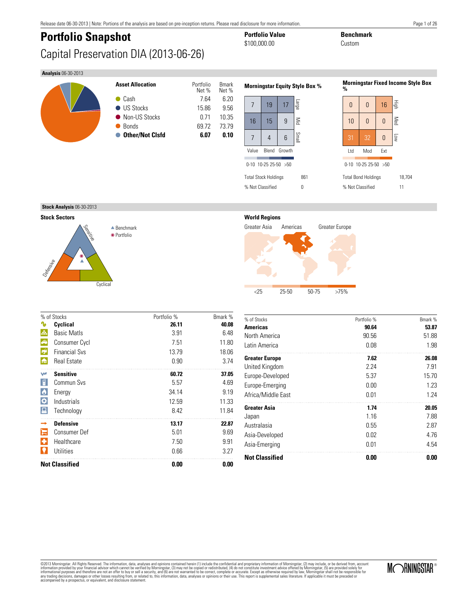# **Portfolio Snapshot Portfolio Value Benchmark**<br>  $$100,000.00$   $0$   $0$   $0.8$   $0.8$   $0.8$   $0.8$   $0.8$   $0.8$   $0.8$   $0.8$   $0.8$   $0.8$   $0.8$   $0.8$   $0.8$   $0.8$   $0.8$   $0.8$   $0.8$   $0.8$   $0.8$   $0.8$   $0.8$   $0.8$   $0.8$   $0.8$   $0.8$ Capital Preservation DIA (2013-06-26)

# \$100,000.00

#### **Analysis** 06-30-2013

| <b>Asset Allocation</b> | Portfolio<br>Net % | <b>Bmark</b><br>Net % |
|-------------------------|--------------------|-----------------------|
| Cash                    | 7.64               | 6.20                  |
| <b>US Stocks</b>        | 15.86              | 9.56                  |
| • Non-US Stocks         | 0.71               | 10.35                 |
| <b>Bonds</b>            | 69.72              | 73.79                 |
| <b>Other/Not Cisfd</b>  | 6.07               | 0.10                  |
|                         |                    |                       |
|                         |                    |                       |

| <b>Morningstar Equity Style Bo</b> |                  |    |         |  |  |  |  |
|------------------------------------|------------------|----|---------|--|--|--|--|
| 7                                  | 19               | 17 | ебер    |  |  |  |  |
| 16                                 | 15               | 9  | $\leqq$ |  |  |  |  |
| 7                                  | 4                | 6  | Small   |  |  |  |  |
| Value                              | Blend Growth     |    |         |  |  |  |  |
| 0-10 10-25 25-50 >50               |                  |    |         |  |  |  |  |
| 861<br><b>Total Stock Holdings</b> |                  |    |         |  |  |  |  |
|                                    | % Not Classified |    |         |  |  |  |  |

#### **Morningstar Fixed Income Style Box %**



**Stock Analysis** 06-30-2013

**Stock Sectors**



**World Regions**



|             | % of Stocks           | Portfolio % | Bmark % |
|-------------|-----------------------|-------------|---------|
|             | Cyclical              | 26.11       | 40.08   |
| A.          | <b>Basic Matls</b>    | 3.91        | 6.48    |
| $\bigoplus$ | <b>Consumer Cycl</b>  | 7.51        | 11.80   |
| <b>R</b>    | <b>Financial Sys</b>  | 13.79       | 18.06   |
| 角           | <b>Real Estate</b>    | 0.90        | 3.74    |
| w           | <b>Sensitive</b>      | 60.72       | 37.05   |
| 日           | Commun Svs            | 5.57        | 4.69    |
| $\bullet$   | Energy                | 34.14       | 9.19    |
| ♦           | Industrials           | 12.59       | 11.33   |
|             | Technology            | 8.42        | 11.84   |
|             | <b>Defensive</b>      | 13.17       | 22.87   |
|             | Consumer Def          | 5.01        | 9.69    |
| ш           | Healthcare            | 7.50        | 9.91    |
|             | Utilities             | 0.66        | 3.27    |
|             | <b>Not Classified</b> | 0.00        | 0.00    |

| % of Stocks           | Portfolio % | Bmark % |
|-----------------------|-------------|---------|
| <b>Americas</b>       | 90.64       | 53.87   |
| North America         | 90.56       | 51.88   |
| Latin America         | 0.08        | 1.98    |
| <b>Greater Europe</b> | 7.62        | 26.08   |
| United Kingdom        | 2 2 4       | 7.91    |
| Europe-Developed      | 5.37        | 15.70   |
| Europe-Emerging       | 0.00        | 1.23    |
| Africa/Middle East    | 0.01        | 1.24    |
| <b>Greater Asia</b>   | 1.74        | 20.05   |
| Japan                 | 116         | 7.88    |
| Australasia           | 0.55        | 2.87    |
| Asia-Developed        | 0.02        | 4.76    |
| Asia-Emerging         | 0.01        | 4.54    |
| <b>Not Classified</b> | 0.00        | 0.00    |

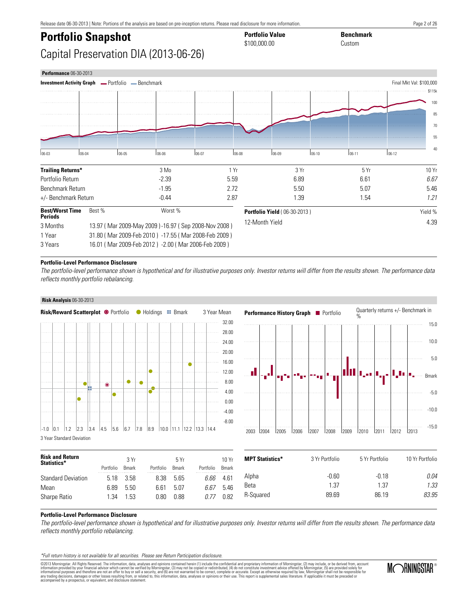# **Portfolio Snapshot Portfolio Value Benchmark**<br> **Portfolio Snapshot Benchmark**<br> **Benchmark**

### Capital Preservation DIA (2013-06-26)

| <b>Performance 06-30-2013</b>                                   |            |       |                                                      |                |             |                                     |         |       |           |                          |
|-----------------------------------------------------------------|------------|-------|------------------------------------------------------|----------------|-------------|-------------------------------------|---------|-------|-----------|--------------------------|
| <b>Investment Activity Graph - Portfolio - Benchmark</b>        |            |       |                                                      |                |             |                                     |         |       |           | Final Mkt Val: \$100,000 |
|                                                                 |            |       |                                                      |                |             |                                     |         |       |           | \$115k                   |
|                                                                 |            |       |                                                      |                |             |                                     |         |       |           | 100                      |
|                                                                 |            |       |                                                      |                |             |                                     |         |       |           | 85                       |
|                                                                 |            |       |                                                      |                |             |                                     |         |       |           | 70                       |
|                                                                 |            |       |                                                      |                |             |                                     |         |       |           | 55                       |
| $ 06-03 $                                                       | $ 06 - 04$ | 06-05 | 06-06                                                | $106-07$       | $0.6 - 0.0$ | $ 06-09$                            | $06-10$ | 06-11 | $ 06-12 $ | 40                       |
| <b>Trailing Returns*</b>                                        |            |       | 3 Mo                                                 |                | 1 Yr        |                                     | 3 Yr    | 5 Yr  |           | 10 Yr                    |
| Portfolio Return                                                |            |       | $-2.39$                                              | 5.59           |             |                                     | 6.89    | 6.61  |           | 6.67                     |
| Benchmark Return                                                |            |       | $-1.95$                                              |                | 2.72        | 5.50                                |         | 5.07  |           | 5.46                     |
| +/- Benchmark Return                                            |            |       | $-0.44$                                              |                | 2.87        | 1.39                                |         | 1.54  |           | 1.21                     |
| <b>Best/Worst Time</b><br><b>Periods</b>                        | Best %     |       | Worst %                                              |                |             | <b>Portfolio Yield (06-30-2013)</b> |         |       |           | Yield %                  |
| 13.97 (Mar 2009-May 2009)-16.97 (Sep 2008-Nov 2008)<br>3 Months |            |       |                                                      | 12-Month Yield |             |                                     |         | 4.39  |           |                          |
| 1 Year                                                          |            |       | 31.80 (Mar 2009-Feb 2010) -17.55 (Mar 2008-Feb 2009) |                |             |                                     |         |       |           |                          |
| 16.01 (Mar 2009-Feb 2012) -2.00 (Mar 2006-Feb 2009)<br>3 Years  |            |       |                                                      |                |             |                                     |         |       |           |                          |

\$100,000.00

#### **Portfolio-Level Performance Disclosure**

The portfolio-level performance shown is hypothetical and for illustrative purposes only. Investor returns will differ from the results shown. The performance data reflects monthly portfolio rebalancing.

**Risk Analysis** 06-30-2013 **Performance History Graph Perfolio** Quarterly returns +/- Benchmark in **Risk/Reward Scatterplot ©** Portfolio C Holdings **B** Bmark 3 Year Mean % . . . . . 32.00 . . . . . . . . . . . . . . 15.0 . . . . . . 28.00 10.0 24.00 بالمتم  $1.1.1$ 20.00 1111 5.0 . . . . . . . . . . . . 16.00 ä  $\mathbf{L}$ 12.00 ı., I,I, II<sub>s</sub>a Bmark i i i 8.00 . . . .  $\bullet$ Ŏ . . . . . . . . . . . . . . . . 4.00 -5.0 0.00 -10.0 . . . . . .  $-4.00$ and a -8.00 -15.0  $-1.0$   $\begin{bmatrix} 0.1 \end{bmatrix}$  1.2  $\begin{bmatrix} 2.3 \end{bmatrix}$  3.4  $\begin{bmatrix} 4.5 \end{bmatrix}$  5.6  $\begin{bmatrix} 6.7 \end{bmatrix}$  7.8  $\begin{bmatrix} 8.9 \end{bmatrix}$  10.0  $\begin{bmatrix} 11.1 \end{bmatrix}$  12.2  $\begin{bmatrix} 13.3 \end{bmatrix}$  14.4 2003 2004 2005 2006 2007 2008 2009 2010 2011 2012 2013 3 Year Standard Deviation

| <b>Risk and Return</b><br>Statistics* |           | 3 Yr          |           | 5Yr           |           | 10Yr          | <b>MPT Statistics*</b> | 3 Yr Portfolio | 5 Yr Portfolio | 10 Yr Portfolio |
|---------------------------------------|-----------|---------------|-----------|---------------|-----------|---------------|------------------------|----------------|----------------|-----------------|
|                                       | Portfolio | <b>B</b> mark | Portfolio | <b>B</b> mark | Portfolio | <b>B</b> mark |                        |                |                |                 |
| <b>Standard Deviation</b>             | 5.18      | 3.58          | 8.38      | 5.65          | 6.66      | .<br>4.61     | Alpha                  | -0.60          | $-0.18$        | 0.04            |
| Mean                                  | 6.89      | 5.50          | 6.61      | 5.07          | 6.67      | 5.46          | Beta                   | . 37           | 37،            | 1.33            |
| Sharpe Ratio                          | .34       | .53           | 0.80      | 0.88          | 0.77      | 0.82          | R-Squared              | 89.69          | 86.19          | 83.95           |
|                                       |           |               |           |               |           |               |                        |                |                |                 |

#### **Portfolio-Level Performance Disclosure**

The portfolio-level performance shown is hypothetical and for illustrative purposes only. Investor returns will differ from the results shown. The performance data reflects monthly portfolio rebalancing.

\*Full return history is not available for all securities. Please see Return Participation disclosure.

©2013 Morningstar. All Rights Reserved. The information, data, analyses and opinions contained herein (1) include the confidential and proprietary information of Morningstar, (2) may include, or be derived from, account information provided by your financial advisor which cannot be verified by Morningstar, (3) may not be copied or redistributed, (4) do not constitute investment advice offered by Morningstar, (5) are provided solely for<br>in



Page 2 of 26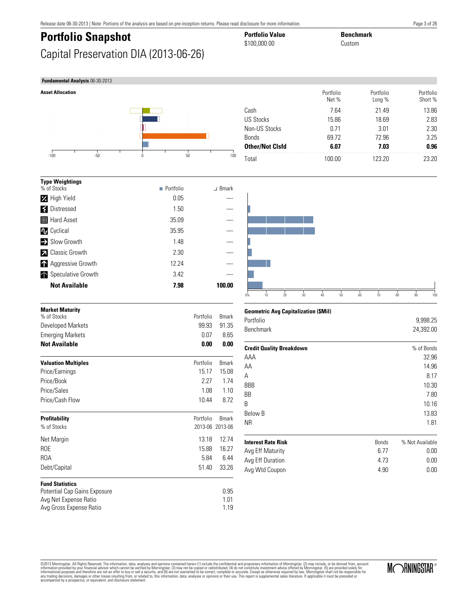## **Portfolio Snapshot Portfolio Value Benchmark**<br>  $$100,000.00$   $0$   $0$   $0.8$   $0.8$   $0.8$   $0.8$   $0.8$   $0.8$   $0.8$   $0.8$   $0.8$   $0.8$   $0.8$   $0.8$   $0.8$   $0.8$   $0.8$   $0.8$   $0.8$   $0.8$   $0.8$   $0.8$   $0.8$   $0.8$   $0.8$   $0.8$   $0.8$ Capital Preservation DIA (2013-06-26)

### **Fundamental Analysis** 06-30-2013

**Ty**<sub>%</sub>



|                            |                          |               | ט ו |
|----------------------------|--------------------------|---------------|-----|
| <b>Type Weightings</b>     |                          |               |     |
| % of Stocks                | $\blacksquare$ Portfolio | $\perp$ Bmark |     |
| <b>Z</b> High Yield        | 0.05                     |               |     |
| S Distressed               | 1.50                     |               |     |
| <b>Hard Asset</b>          | 35.09                    |               |     |
| <b>1</b> Cyclical          | 35.95                    |               |     |
| Slow Growth                | 1.48                     |               |     |
| <b>Z</b> Classic Growth    | 2.30                     |               |     |
| <b>A</b> Aggressive Growth | 12.24                    |               |     |
| Speculative Growth         | 3.42                     |               |     |
| <b>Not Available</b>       | 7.98                     | 100.00        |     |

| 7.98  | 100.00 |  |
|-------|--------|--|
| 3.42  |        |  |
| 12.24 |        |  |
| 2.30  |        |  |
| 1.48  |        |  |
| 35.95 |        |  |
| 35.09 |        |  |
| 1.50  |        |  |
| v.vv  |        |  |

\$100,000.00

| <b>Market Maturity</b><br>% of Stocks | Portfolio | <b>B</b> mark   |
|---------------------------------------|-----------|-----------------|
|                                       |           |                 |
| Developed Markets                     | 99.93     | 91.35           |
| <b>Emerging Markets</b>               | 0.07      | 8.65            |
| <b>Not Available</b>                  | 0.00      | 0.00            |
| <b>Valuation Multiples</b>            | Portfolio | <b>B</b> mark   |
| Price/Earnings                        | 15.17     | 15.08           |
| Price/Book                            | 2.27      | 1.74            |
| Price/Sales                           | 1.08      | 1.10            |
| Price/Cash Flow                       | 10.44     | 8.72            |
| <b>Profitability</b>                  | Portfolio | <b>Bmark</b>    |
| % of Stocks                           |           | 2013-06 2013-06 |
| Net Margin                            | 13.18     | 12.74           |
| <b>ROE</b>                            | 15.88     | 16.27           |
| ROA                                   | 5.84      | 6.44            |
| Debt/Capital                          | 51.40     | 33.26           |
| <b>Fund Statistics</b>                |           |                 |
| Potential Cap Gains Exposure          |           | 0.95            |
| Avg Net Expense Ratio                 |           | 1.01            |

Avg Gross Expense Ratio 1.19

#### Portfolio Net % Portfolio Long % Portfolio Short % Cash 7.64 21.49 13.86 US Stocks 15.86 18.69 2.83 Non-US Stocks 0.71 3.01 2.30 Bonds 69.72 72.96 3.25 **Other/Not Clsfd 6.07 7.03 0.96** Total 100.00 123.20 23.20



#### **Geometric Avg Capitalization (\$Mil)**

| Portfolio        | 9.998.25  |
|------------------|-----------|
| <b>Benchmark</b> | 24.392.00 |

| <b>Credit Quality Breakdown</b> |              | % of Bonds      |
|---------------------------------|--------------|-----------------|
| AAA                             |              | 32.96           |
| AA                              |              | 14.96           |
| A                               |              | 8.17            |
| <b>BBB</b>                      |              | 10.30           |
| <b>BB</b>                       |              | 7.80            |
| B                               |              | 10.16           |
| Below B                         |              | 13.83           |
| <b>NR</b>                       |              | 1.81            |
| <b>Interest Rate Risk</b>       | <b>Bonds</b> | % Not Available |
| Avg Eff Maturity                | 6.77         | 0.00            |
| Avg Eff Duration                | 4.73         | 0.00            |

Avg Wtd Coupon 6 0.00 0.00

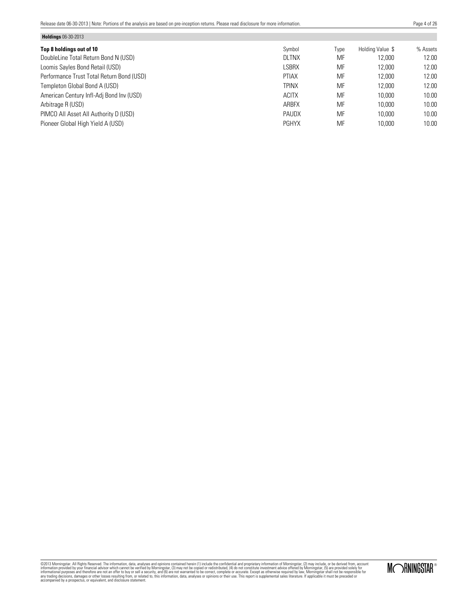**Holdings** 06-30-2013

Page 4 of 26

| <b>Holdings</b> Ub-30-2013                |              |      |                  |          |
|-------------------------------------------|--------------|------|------------------|----------|
| Top 8 holdings out of 10                  | Symbol       | Type | Holding Value \$ | % Assets |
| DoubleLine Total Return Bond N (USD)      | <b>DLTNX</b> | MF   | 12,000           | 12.00    |
| Loomis Sayles Bond Retail (USD)           | <b>LSBRX</b> | MF   | 12.000           | 12.00    |
| Performance Trust Total Return Bond (USD) | <b>PTIAX</b> | MF   | 12,000           | 12.00    |
| Templeton Global Bond A (USD)             | <b>TPINX</b> | MF   | 12,000           | 12.00    |
| American Century Infl-Adj Bond Inv (USD)  | <b>ACITX</b> | MF   | 10,000           | 10.00    |
| Arbitrage R (USD)                         | <b>ARBFX</b> | MF   | 10,000           | 10.00    |
| PIMCO All Asset All Authority D (USD)     | <b>PAUDX</b> | MF   | 10,000           | 10.00    |
| Pioneer Global High Yield A (USD)         | <b>PGHYX</b> | MF   | 10,000           | 10.00    |
|                                           |              |      |                  |          |

MORNINGSTAR®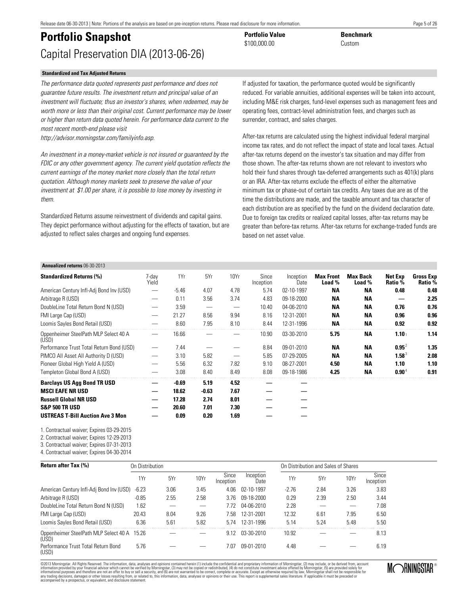### **Portfolio Snapshot Portfolio Value Benchmark**<br>  $$100,000,00$ Capital Preservation DIA (2013-06-26)

#### **Standardized and Tax Adjusted Returns**

The performance data quoted represents past performance and does not guarantee future results. The investment return and principal value of an investment will fluctuate; thus an investor's shares, when redeemed, may be worth more or less than their original cost. Current performance may be lower or higher than return data quoted herein. For performance data current to the most recent month-end please visit

http://advisor.morningstar.com/familyinfo.asp.

An investment in a money-market vehicle is not insured or guaranteed by the FDIC or any other government agency. The current yield quotation reflects the current earnings of the money market more closely than the total return quotation. Although money markets seek to preserve the value of your investment at \$1.00 per share, it is possible to lose money by investing in them.

Standardized Returns assume reinvestment of dividends and capital gains. They depict performance without adjusting for the effects of taxation, but are adjusted to reflect sales charges and ongoing fund expenses.

If adjusted for taxation, the performance quoted would be significantly reduced. For variable annuities, additional expenses will be taken into account, including M&E risk charges, fund-level expenses such as management fees and operating fees, contract-level administration fees, and charges such as surrender, contract, and sales charges.

After-tax returns are calculated using the highest individual federal marginal income tax rates, and do not reflect the impact of state and local taxes. Actual after-tax returns depend on the investor's tax situation and may differ from those shown. The after-tax returns shown are not relevant to investors who hold their fund shares through tax-deferred arrangements such as 401(k) plans or an IRA. After-tax returns exclude the effects of either the alternative minimum tax or phase-out of certain tax credits. Any taxes due are as of the time the distributions are made, and the taxable amount and tax character of each distribution are as specified by the fund on the dividend declaration date. Due to foreign tax credits or realized capital losses, after-tax returns may be greater than before-tax returns. After-tax returns for exchange-traded funds are based on net asset value.

#### **Annualized returns** 06-30-2013

| <b>Standardized Returns (%)</b>                | 7-dav<br>Yield                | 1Yr     | 5Yr     | 10Yr | Since<br>Inception | Inception<br>Date | <b>Max Front</b><br>Load % | <b>Max Back</b><br>Load % | Net Exp<br>Ratio % | <b>Gross Exp</b><br>Ratio % |
|------------------------------------------------|-------------------------------|---------|---------|------|--------------------|-------------------|----------------------------|---------------------------|--------------------|-----------------------------|
| American Century Infl-Adj Bond Inv (USD)       | -                             | $-5.46$ | 4.07    | 4.78 | 5.74               | 02-10-1997        | ΝA                         | ΝA                        | 0.48               | 0.48                        |
| Arbitrage R (USD)                              | $\overbrace{\phantom{12332}}$ | 0.11    | 3.56    | 3.74 | 4.83               | 09-18-2000        | ΝA                         | <b>NA</b>                 |                    | 2.25                        |
| DoubleLine Total Return Bond N (USD)           |                               | 3.59    |         | —    | 10.40              | $04 - 06 - 2010$  | <b>NA</b>                  | <b>NA</b>                 | 0.76               | 0.76                        |
| FMI Large Cap (USD)                            |                               | 21.27   | 8.56    | 9.94 | 8.16               | 12-31-2001        | ΝA                         | <b>NA</b>                 | 0.96               | 0.96                        |
| Loomis Sayles Bond Retail (USD)                |                               | 8.60    | 7.95    | 8.10 | 8.44               | 12-31-1996        | <b>NA</b>                  | <b>NA</b>                 | 0.92               | 0.92                        |
| Oppenheimer SteelPath MLP Select 40 A<br>(USD) |                               | 16.66   |         |      | 10.90              | 03-30-2010        | 5.75                       | ΝA                        | 1.10 <sub>1</sub>  | 1.14                        |
| Performance Trust Total Return Bond (USD)      |                               | 7.44    |         |      | 8.84               | 09-01-2010        | <b>NA</b>                  | <b>NA</b>                 | $0.95^2$           | 1.35                        |
| PIMCO All Asset All Authority D (USD)          | $\overbrace{\phantom{12332}}$ | 3.10    | 5.82    |      | 5.85               | 07-29-2005        | <b>NA</b>                  | ΝA                        | $1.58^3$           | 2.08                        |
| Pioneer Global High Yield A (USD)              | $\overbrace{\phantom{12332}}$ | 5.56    | 6.32    | 7.82 | 9.10               | 08-27-2001        | 4.50                       | <b>NA</b>                 | 1.10               | 1.10                        |
| Templeton Global Bond A (USD)                  |                               | 3.08    | 8.40    | 8.49 | 8.08               | 09-18-1986        | 4.25                       | <b>NA</b>                 | $0.90^4$           | 0.91                        |
| <b>Barclays US Agg Bond TR USD</b>             |                               | $-0.69$ | 5.19    | 4.52 |                    |                   |                            |                           |                    |                             |
| <b>MSCI EAFE NR USD</b>                        |                               | 18.62   | $-0.63$ | 7.67 |                    |                   |                            |                           |                    |                             |
| <b>Russell Global NR USD</b>                   | —                             | 17.28   | 2.74    | 8.01 |                    |                   |                            |                           |                    |                             |
| <b>S&amp;P 500 TR USD</b>                      |                               | 20.60   | 7.01    | 7.30 |                    |                   |                            |                           |                    |                             |
| <b>USTREAS T-Bill Auction Ave 3 Mon</b>        |                               | 0.09    | 0.20    | 1.69 |                    |                   |                            |                           |                    |                             |

 $$100.000.00$ 

1. Contractual waiver; Expires 03-29-2015

2. Contractual waiver; Expires 12-29-2013

3. Contractual waiver; Expires 07-31-2013

4. Contractual waiver; Expires 04-30-2014

**Return after Tax (%) On Distribution On Distribution Consumersion Consumersion Consumersion Consumersion Consumersion Consumersion Consumersion Consumersion Consumersion Consumersion Consumersion** 1Yr 5Yr 10Yr Since Inception Inception<br>Date Date 1Yr 5Yr 10Yr Since Inception American Century Infl-Adj Bond Inv (USD) -6.23 3.06 3.45 4.06 02-10-1997 -2.76 2.84 3.26 3.83 Arbitrage R (USD) -0.85 2.55 2.58 3.76 09-18-2000 0.29 2.39 2.50 3.44 DoubleLine Total Return Bond N (USD) 1.62 — — 7.72 04-06-2010 2.28 — — 7.08 FMI Large Cap (USD) 20.43 8.04 9.26 7.58 12-31-2001 12.32 6.61 7.95 6.50 Loomis Sayles Bond Retail (USD) 6.36 5.61 5.82 5.74 12-31-1996 5.14 5.24 5.48 5.50 Oppenheimer SteelPath MLP Select 40 A (USD) 15.26 — — 9.12 03-30-2010 10.92 — — 8.13 Performance Trust Total Return Bond (USD) 5.76 — — 7.07 09-01-2010 4.48 — — 6.19

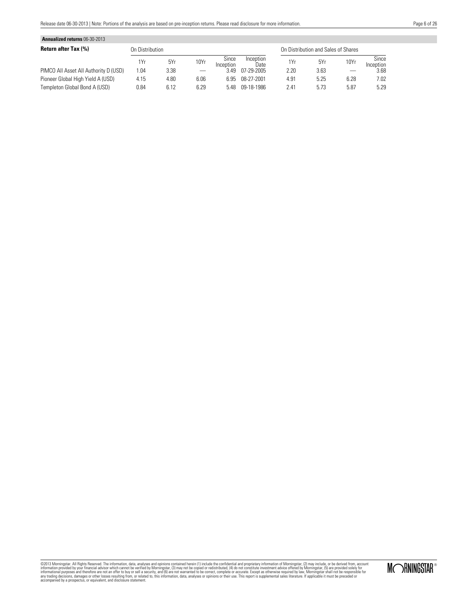| <b>Annualized returns 06-30-2013</b>  |                 |      |      |                    |                   |      |                                     |      |                    |
|---------------------------------------|-----------------|------|------|--------------------|-------------------|------|-------------------------------------|------|--------------------|
| <b>Return after Tax (%)</b>           | On Distribution |      |      |                    |                   |      | On Distribution and Sales of Shares |      |                    |
|                                       | 1Yr             | 5Yr  | 10Yr | Since<br>Inception | Inception<br>Date | 1Yr  | 5Yr                                 | 10Yr | Since<br>Inception |
| PIMCO All Asset All Authority D (USD) | .04             | 3.38 |      | 3 49               | 07-29-2005        | 2.20 | 3.63                                |      | 3.68               |
| Pioneer Global High Yield A (USD)     | 4.15            | 4.80 | 6.06 | ճ 95               | 08-27-2001        | 4.91 | 5.25                                | 6.28 | 7.02               |
| Templeton Global Bond A (USD)         | 0.84            | 6.12 | 6.29 | 5 48               | 09-18-1986        | 2.41 | 5.73                                | 5.87 | 5.29               |

MORNINGSTAR®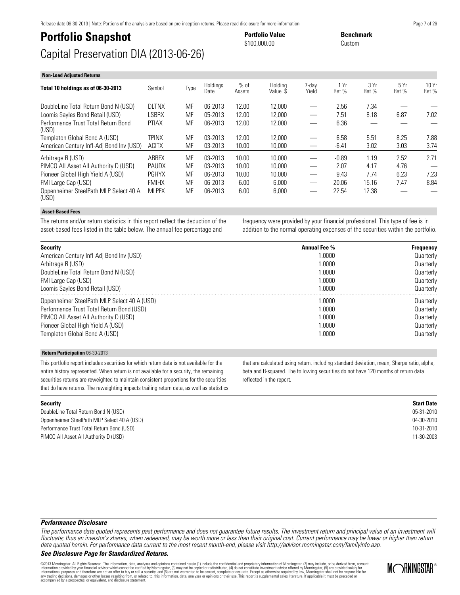Date

DoubleLine Total Return Bond N (USD) DLTNX MF 06-2013 12.00 12,000 — 2.56 7.34

### **Portfolio Snapshot Portfolio Value Benchmark**<br>  $$100,000,00$ Capital Preservation DIA (2013-06-26)

**Non-Load Adjusted Returns**

Performance Trust Total Return Bond

Oppenheimer SteelPath MLP Select 40 A

#### **Performance Disclosure**

The performance data quoted represents past performance and does not guarantee future results. The investment return and principal value of an investment will fluctuate; thus an investor's shares, when redeemed, may be worth more or less than their original cost. Current performance may be lower or higher than return data quoted herein. For performance data current to the most recent month-end, please visit http://advisor.morningstar.com/familyinfo.asp.

#### **See Disclosure Page for Standardized Returns.**

©2013 Morningstar. All Rights Reserved. The information, data, analyses and opinions contained herein (1) include the confidential and proprietary information of Morningstar, (2) may include, or be derived from, account information provided by your financial advisor which cannot be verified by Morningstar, (3) may not be copied or redistributed, (4) do not constitute investment advice offered by Morningstar, (5) are provided solely for<br>in

**Asset-Based Fees**

(USD)

(USD)

The returns and/or return statistics in this report reflect the deduction of the asset-based fees listed in the table below. The annual fee percentage and

**Total 10 holdings as of 06-30-2013** Symbol Type Holdings

frequency were provided by your financial professional. This type of fee is in addition to the normal operating expenses of the securities within the portfolio.

1 Yr Ret %

3 Yr Ret %

5 Yr Ret %

| <b>Security</b>                             | <b>Annual Fee %</b> | <b>Frequency</b> |
|---------------------------------------------|---------------------|------------------|
| American Century Infl-Adj Bond Inv (USD)    | 1.0000              | Quarterly        |
| Arbitrage R (USD)                           | 1.0000              | Quarterly        |
| DoubleLine Total Return Bond N (USD)        | 1.0000              | Quarterly        |
| FMI Large Cap (USD)                         | 1.0000              | Quarterly        |
| Loomis Sayles Bond Retail (USD)             | 1.0000              | Quarterly        |
| Oppenheimer SteelPath MLP Select 40 A (USD) | 1.0000              | Quarterly        |
| Performance Trust Total Return Bond (USD)   | 1.0000              | Quarterly        |
| PIMCO All Asset All Authority D (USD)       | 1.0000              | Quarterly        |
| Pioneer Global High Yield A (USD)           | 1.0000              | Quarterly        |
| Templeton Global Bond A (USD)               | 1.0000              | Quarterly        |

\$100,000.00

Holding Value \$

PTIAX MF 06-2013 12.00 12,000 — 6.36 — — —

MLPFX MF 06-2013 6.00 6,000 — 22.54 12.38 — —

7-day Yield

 $%$  of Assets

Loomis Sayles Bond Retail (USD) LSBRX MF 05-2013 12.00 12,000 — 7.51 8.18 6.87 7.02

Templeton Global Bond A (USD) TPINX MF 03-2013 12.00 12,000 — 6.58 5.51 8.25 7.88 American Century Infl-Adj Bond Inv (USD) ACITX MF 03-2013 10.00 10,000 — - -6.41 3.02 3.03 3.74 Arbitrage R (USD) ARBFX MF 03-2013 10.00 10,000 — -0.89 1.19 2.52 2.71

Pioneer Global High Yield A (USD) PGHYX MF 06-2013 10.00 10,000 — 9.43 7.74 6.23 7.23 FMI Large Cap (USD) FMIHX MF 06-2013 6.00 6,000 — 20.06 15.16 7.47 8.84

PIMCO AII Asset AII Authority D (USD) PAUDX MF 03-2013 10.00 10,000 — 2.07 4.17 4.76

#### **Return Participation** 06-30-2013

This portfolio report includes securities for which return data is not available for the entire history represented. When return is not available for a security, the remaining securities returns are reweighted to maintain consistent proportions for the securities that do have returns. The reweighting impacts trailing return data, as well as statistics

### **Security Start Date**

DoubleLine Total Return Bond N (USD) 05-31-2010 Oppenheimer SteelPath MLP Select 40 A (USD) 04-30-2010 Performance Trust Total Return Bond (USD) 10-31-2010 PIMCO All Asset All Authority D (USD) 11-30-2003

that are calculated using return, including standard deviation, mean, Sharpe ratio, alpha, beta and R-squared. The following securities do not have 120 months of return data reflected in the report.

# MORNINGSTAR<sup>®</sup>

10 Yr Ret %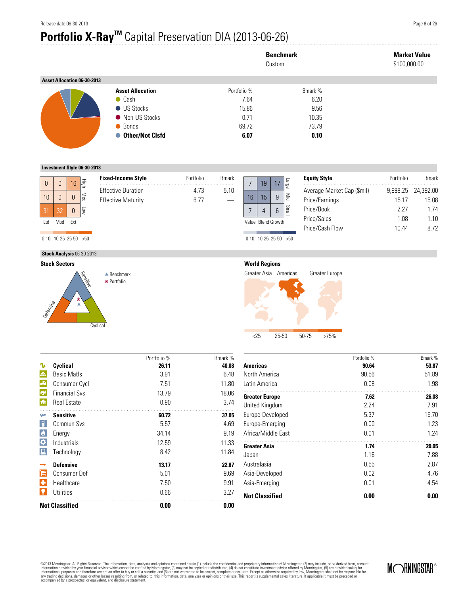# **Portfolio X-RayTM** Capital Preservation DIA (2013-06-26)

|                             |                         | Custom      | <b>Benchmark</b> | <b>Market Value</b><br>\$100,000.00 |
|-----------------------------|-------------------------|-------------|------------------|-------------------------------------|
| Asset Allocation 06-30-2013 |                         |             |                  |                                     |
|                             | <b>Asset Allocation</b> | Portfolio % | Bmark %          |                                     |
|                             | $\bullet$ Cash          | 7.64        | 6.20             |                                     |
|                             | <b>US Stocks</b>        | 15.86       | 9.56             |                                     |
|                             | • Non-US Stocks         | 0.71        | 10.35            |                                     |
|                             | • Bonds                 | 69.72       | 73.79            |                                     |
|                             | ● Other/Not Clsfd       | 6.07        | 0.10             |                                     |

**Investment Style 06-30-2013**

|              |                          |                 |                                  | <b>Fixed-Income Style</b> | Portfolio | <b>B</b> mark |                    |                          |                |                                       | <b>Equity Style</b>        | Portfolio | <b>Bmark</b> |
|--------------|--------------------------|-----------------|----------------------------------|---------------------------|-----------|---------------|--------------------|--------------------------|----------------|---------------------------------------|----------------------------|-----------|--------------|
| $\mathbf{0}$ |                          | 16 <sup>1</sup> | l - E                            |                           |           |               |                    | 19                       | 17             | Parge                                 |                            |           |              |
|              |                          |                 |                                  | <b>Effective Duration</b> | 4.73      | 5.10          |                    |                          |                |                                       | Average Market Cap (\$mil) | 9,998.25  | 24,392.00    |
| 10           |                          |                 | Med                              | <b>Effective Maturity</b> | 6.77      |               | 16                 | 15                       | 9              | $\mathop{\leq_{\mathrm{min}}}\limits$ | Price/Earnings             | 15.17     | 15.08        |
|              |                          |                 |                                  |                           |           |               |                    |                          |                |                                       |                            |           |              |
| 31           | 32                       | $\mathbf{0}$    | ģ                                |                           |           |               |                    |                          | $6\phantom{1}$ | Smal                                  | Price/Book                 | 2.27      | 1.74         |
|              |                          |                 |                                  |                           |           |               |                    |                          |                | $\overline{\phantom{a}}$              | Price/Sales                | 1.08      | 1.10         |
| Ltd          | Mod                      | Ext             |                                  |                           |           |               | Value Blend Growth |                          |                |                                       |                            |           |              |
|              |                          |                 |                                  |                           |           |               |                    |                          |                |                                       | Price/Cash Flow            | 10.44     | 8.72         |
|              | $0-10$ 10-25 25-50 $>50$ |                 |                                  |                           |           |               |                    | $0-10$ 10-25 25-50 $>50$ |                |                                       |                            |           |              |
|              |                          |                 |                                  |                           |           |               |                    |                          |                |                                       |                            |           |              |
|              |                          |                 | <b>Stock Analysis 06-30-2013</b> |                           |           |               |                    |                          |                |                                       |                            |           |              |





#### **World Regions**

Greater Asia Americas Greater Europe



|                       |                       | Portfolio % | Bmark % |
|-----------------------|-----------------------|-------------|---------|
|                       | Cyclical              | 26.11       | 40.08   |
| A.                    | <b>Basic Matls</b>    | 3.91        | 6.48    |
| A                     | Consumer Cycl         | 7.51        | 11.80   |
| $\mathbb{R}^2$        | <b>Financial Sys</b>  | 13.79       | 18.06   |
| l fa                  | <b>Real Estate</b>    | 0.90        | 3.74    |
| W                     | <b>Sensitive</b>      | 60.72       | 37.05   |
| 딞                     | Commun Svs            | 5.57        | 4.69    |
| $\bullet$             | Energy                | 34.14       | 9.19    |
| $ \boldsymbol{\phi} $ | Industrials           | 12.59       | 11.33   |
| П                     | Technology            | 8.42        | 11.84   |
|                       | <b>Defensive</b>      | 13.17       | 22.87   |
|                       | Consumer Def          | 5.01        | 9.69    |
| ÷                     | Healthcare            | 7.50        | 9.91    |
|                       | Utilities             | 0.66        | 3.27    |
|                       | <b>Not Classified</b> | 0.00        | 0.00    |

|                       | Portfolio % | Bmark % |
|-----------------------|-------------|---------|
| <b>Americas</b>       | 90.64       | 53.87   |
| North America         | 90.56       | 51.89   |
| Latin America         | 0.08        | 1.98    |
| <b>Greater Europe</b> | 7.62        | 26.08   |
| United Kingdom        | 2.24        | 7.91    |
| Europe-Developed      | 5.37        | 15.70   |
| Europe-Emerging       | 0.00        | 1.23    |
| Africa/Middle East    | 0.01        | 1.24    |
| <b>Greater Asia</b>   | 1.74        | 20.05   |
| Japan                 | 1.16        | 7.88    |
| Australasia           | 0.55        | 2.87    |
| Asia-Developed        | 0.02        | 4.76    |
| Asia-Emerging         | 0.01        | 4.54    |
| <b>Not Classified</b> | 0.00        | 0.00    |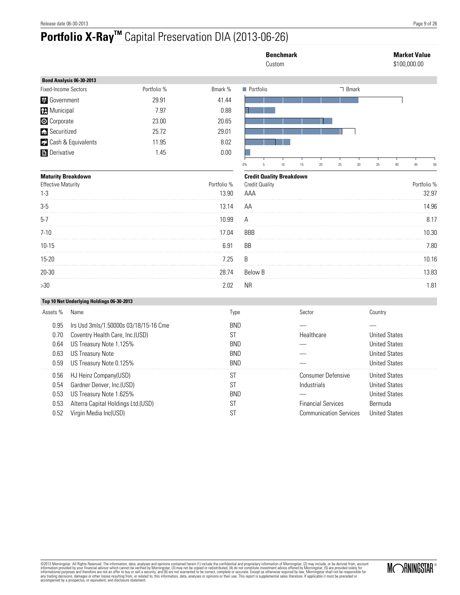# **Portfolio X-RayTM** Capital Preservation DIA (2013-06-26)

|                                      |                                                                                                                                                           |             |                                                                   |                |                       | <b>Benchmark</b><br>Custom      |        |                                          |                                                            |         |                                                                                              | <b>Market Value</b><br>\$100,000.00 |
|--------------------------------------|-----------------------------------------------------------------------------------------------------------------------------------------------------------|-------------|-------------------------------------------------------------------|----------------|-----------------------|---------------------------------|--------|------------------------------------------|------------------------------------------------------------|---------|----------------------------------------------------------------------------------------------|-------------------------------------|
|                                      | Bond Analysis 06-30-2013                                                                                                                                  |             |                                                                   |                |                       |                                 |        |                                          |                                                            |         |                                                                                              |                                     |
| <b>Fixed-Income Sectors</b>          |                                                                                                                                                           | Portfolio % | Bmark %                                                           | Portfolio      |                       |                                 |        |                                          | □ Bmark                                                    |         |                                                                                              |                                     |
| <b>th</b> Government                 |                                                                                                                                                           | 29.91       | 41.44                                                             |                |                       |                                 |        |                                          |                                                            |         |                                                                                              |                                     |
| <b>H</b> Municipal                   |                                                                                                                                                           | 7.97        | 0.88                                                              |                |                       |                                 |        |                                          |                                                            |         |                                                                                              |                                     |
| Corporate                            |                                                                                                                                                           | 23.00       | 20.65                                                             |                |                       |                                 |        |                                          |                                                            |         |                                                                                              |                                     |
| Securitized                          |                                                                                                                                                           | 25.72       | 29.01                                                             |                |                       |                                 |        |                                          |                                                            |         |                                                                                              |                                     |
|                                      | Cash & Equivalents                                                                                                                                        | 11.95       | 8.02                                                              |                |                       |                                 |        |                                          |                                                            |         |                                                                                              |                                     |
| <b>Derivative</b>                    |                                                                                                                                                           | 1.45        | 0.00                                                              | 0%             | $\mathsf S$           | 10                              | 15     | $20\,$                                   | 25<br>$30\,$                                               | 35      | $40\,$                                                                                       | 45<br>50                            |
| <b>Maturity Breakdown</b>            |                                                                                                                                                           |             |                                                                   |                |                       | <b>Credit Quality Breakdown</b> |        |                                          |                                                            |         |                                                                                              |                                     |
| <b>Effective Maturity</b><br>$1-3$   |                                                                                                                                                           |             | Portfolio %<br>13.90                                              | AAA            | <b>Credit Quality</b> |                                 |        |                                          |                                                            |         |                                                                                              | Portfolio %<br>32.97                |
| $3-5$                                |                                                                                                                                                           |             | 13.14                                                             | AA             |                       |                                 |        |                                          |                                                            |         |                                                                                              | 14.96                               |
| $5-7$                                |                                                                                                                                                           |             | 10.99                                                             | А              |                       |                                 |        |                                          |                                                            |         |                                                                                              | 8.17                                |
| 7-10                                 |                                                                                                                                                           |             | 17.04                                                             | <b>BBB</b>     |                       |                                 |        |                                          |                                                            |         |                                                                                              | 10.30                               |
| $10 - 15$                            |                                                                                                                                                           |             | 6.91                                                              | BB<br>as as as |                       |                                 |        |                                          |                                                            |         |                                                                                              | 7.80                                |
| 15-20                                |                                                                                                                                                           |             | 7.25                                                              | B              |                       |                                 |        |                                          |                                                            |         |                                                                                              | 10.16                               |
| 20-30                                |                                                                                                                                                           |             | 28.74                                                             | Below B        |                       |                                 |        |                                          |                                                            |         |                                                                                              | 13.83                               |
| >30                                  |                                                                                                                                                           |             | 2.02                                                              | NR.            |                       |                                 |        |                                          |                                                            |         |                                                                                              | 1.81                                |
|                                      | Top 10 Net Underlying Holdings 06-30-2013                                                                                                                 |             |                                                                   |                |                       |                                 |        |                                          |                                                            |         |                                                                                              |                                     |
| Assets %                             | Name                                                                                                                                                      |             | Type                                                              |                |                       |                                 | Sector |                                          |                                                            | Country |                                                                                              |                                     |
| 0.95<br>0.70<br>0.64<br>0.63<br>0.59 | Irs Usd 3mls/1.50000s 03/18/15-16 Cme<br>Coventry Health Care, Inc.(USD)<br>US Treasury Note 1.125%<br><b>US Treasury Note</b><br>US Treasury Note 0.125% |             | <b>BND</b><br><b>ST</b><br><b>BND</b><br><b>BND</b><br><b>BND</b> |                |                       |                                 |        | Healthcare                               |                                                            |         | <b>United States</b><br><b>United States</b><br><b>United States</b><br><b>United States</b> |                                     |
| 0.56<br>0.54<br>0.53<br>0.53<br>0.52 | HJ Heinz Company(USD)<br>Gardner Denver, Inc.(USD)<br>US Treasury Note 1.625%<br>Alterra Capital Holdings Ltd.(USD)<br>Virgin Media Inc(USD)              |             | <b>ST</b><br><b>ST</b><br><b>BND</b><br><b>ST</b><br><b>ST</b>    |                |                       |                                 |        | Industrials<br><b>Financial Services</b> | <b>Consumer Defensive</b><br><b>Communication Services</b> | Bermuda | <b>United States</b><br><b>United States</b><br><b>United States</b><br><b>United States</b> |                                     |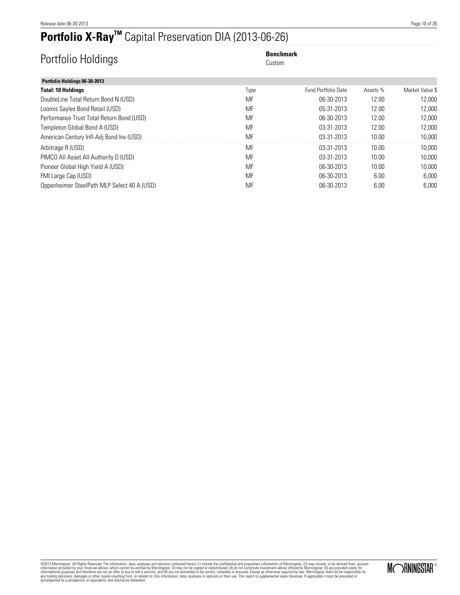# **Portfolio X-RayTM** Capital Preservation DIA (2013-06-26)

# Portfolio Holdings **Benchmark Benchmark** Custom

Custom

| Portfolio Holdings 06-30-2013               |      |                            |          |                 |
|---------------------------------------------|------|----------------------------|----------|-----------------|
| <b>Total: 10 Holdings</b>                   | Type | <b>Fund Portfolio Date</b> | Assets % | Market Value \$ |
| DoubleLine Total Return Bond N (USD)        | MF   | 06-30-2013                 | 12.00    | 12.000          |
| Loomis Sayles Bond Retail (USD)             | MF   | 05-31-2013                 | 12.00    | 12.000          |
| Performance Trust Total Return Bond (USD)   | MF   | 06-30-2013                 | 12.00    | 12.000          |
| Templeton Global Bond A (USD)               | MF   | 03-31-2013                 | 12.00    | 12.000          |
| American Century Infl-Adj Bond Inv (USD)    | MF   | 03-31-2013                 | 10.00    | 10,000          |
| Arbitrage R (USD)                           | MF   | 03-31-2013                 | 10.00    | 10.000          |
| PIMCO All Asset All Authority D (USD)       | MF   | 03-31-2013                 | 10.00    | 10.000          |
| Pioneer Global High Yield A (USD)           | MF   | 06-30-2013                 | 10.00    | 10.000          |
| FMI Large Cap (USD)                         | MF   | 06-30-2013                 | 6.00     | 6,000           |
| Oppenheimer SteelPath MLP Select 40 A (USD) | MF   | 06-30-2013                 | 6.00     | 6.000           |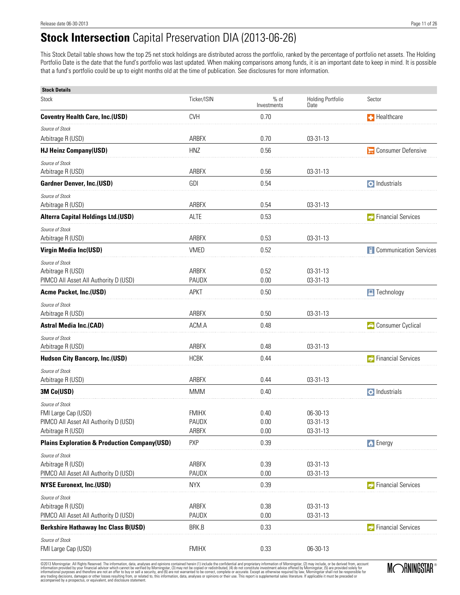### **Stock Intersection** Capital Preservation DIA (2013-06-26)

This Stock Detail table shows how the top 25 net stock holdings are distributed across the portfolio, ranked by the percentage of portfolio net assets. The Holding Portfolio Date is the date that the fund's portfolio was last updated. When making comparisons among funds, it is an important date to keep in mind. It is possible that a fund's portfolio could be up to eight months old at the time of publication. See disclosures for more information.

| <b>Stock Details</b>                                                                                 |                                |                       |                                  |                                 |
|------------------------------------------------------------------------------------------------------|--------------------------------|-----------------------|----------------------------------|---------------------------------|
| Stock                                                                                                | Ticker/ISIN                    | $%$ of<br>Investments | <b>Holding Portfolio</b><br>Date | Sector                          |
| <b>Coventry Health Care, Inc.(USD)</b>                                                               | <b>CVH</b>                     | 0.70                  |                                  | <b>F</b> Healthcare             |
| Source of Stock                                                                                      |                                |                       |                                  |                                 |
| Arbitrage R (USD)                                                                                    | <b>ARBFX</b>                   | 0.70                  | 03-31-13                         |                                 |
| <b>HJ Heinz Company(USD)</b>                                                                         | HNZ                            | 0.56                  |                                  | Consumer Defensive              |
| Source of Stock                                                                                      |                                |                       |                                  |                                 |
| Arbitrage R (USD)                                                                                    | <b>ARBFX</b>                   | 0.56                  | 03-31-13                         |                                 |
| <b>Gardner Denver, Inc.(USD)</b>                                                                     | GDI                            | 0.54                  |                                  | $\bullet$ Industrials           |
| Source of Stock<br>Arbitrage R (USD)                                                                 | ARBFX                          | 0.54                  | 03-31-13                         |                                 |
| <b>Alterra Capital Holdings Ltd.(USD)</b>                                                            | <b>ALTE</b>                    | 0.53                  |                                  | <b>C</b> Financial Services     |
| Source of Stock<br>Arbitrage R (USD)                                                                 | ARBFX                          | 0.53                  | 03-31-13                         |                                 |
| Virgin Media Inc(USD)                                                                                | <b>VMED</b>                    | 0.52                  |                                  | <b>E</b> Communication Services |
| Source of Stock<br>Arbitrage R (USD)<br>PIMCO All Asset All Authority D (USD)                        | <b>ARBFX</b><br>PAUDX          | 0.52<br>0.00          | 03-31-13<br>03-31-13             |                                 |
| <b>Acme Packet, Inc.(USD)</b>                                                                        | <b>APKT</b>                    | 0.50                  |                                  | $\Box$ Technology               |
| Source of Stock<br>Arbitrage R (USD)                                                                 | ARBFX                          | 0.50                  | 03-31-13                         |                                 |
| <b>Astral Media Inc.(CAD)</b>                                                                        | ACM.A                          | 0.48                  |                                  | Consumer Cyclical               |
| Source of Stock<br>Arbitrage R (USD)                                                                 | ARBFX                          | 0.48                  | 03-31-13                         |                                 |
| <b>Hudson City Bancorp, Inc.(USD)</b>                                                                | <b>HCBK</b>                    | 0.44                  |                                  | <b>Financial Services</b>       |
| Source of Stock<br>Arbitrage R (USD)                                                                 | <b>ARBFX</b>                   | 0.44                  | 03-31-13                         |                                 |
| 3M Co(USD)                                                                                           | <b>MMM</b>                     | 0.40                  |                                  | $\ddot{\bullet}$ Industrials    |
| Source of Stock<br>FMI Large Cap (USD)<br>PIMCO All Asset All Authority D (USD)<br>Arbitrage R (USD) | <b>FMIHX</b><br>PAUDX<br>ARBFX | 0.40<br>0.00<br>0.00  | 06-30-13<br>03-31-13<br>03-31-13 |                                 |
| <b>Plains Exploration &amp; Production Company(USD)</b>                                              | <b>PXP</b>                     | 0.39                  |                                  | <b>b</b> Energy                 |
| Source of Stock<br>Arbitrage R (USD)<br>PIMCO All Asset All Authority D (USD)                        | ARBFX<br>PAUDX                 | 0.39<br>0.00          | 03-31-13<br>03-31-13             |                                 |
| <b>NYSE Euronext, Inc.(USD)</b>                                                                      | <b>NYX</b>                     | 0.39                  |                                  | <b>Financial Services</b>       |
| Source of Stock<br>Arbitrage R (USD)<br>PIMCO All Asset All Authority D (USD)                        | ARBFX<br>PAUDX                 | 0.38<br>0.00          | 03-31-13<br>03-31-13             |                                 |
| <b>Berkshire Hathaway Inc Class B(USD)</b>                                                           | BRK.B                          | 0.33                  |                                  | <b>Financial Services</b>       |
| Source of Stock<br>FMI Large Cap (USD)                                                               | <b>FMIHX</b>                   | 0.33                  | 06-30-13                         |                                 |

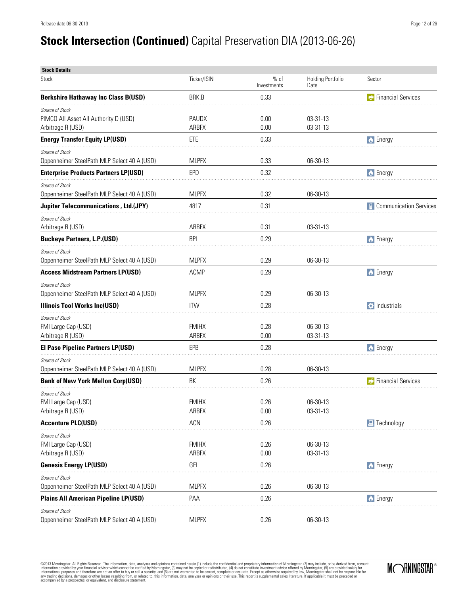# **Stock Intersection (Continued)** Capital Preservation DIA (2013-06-26)

| <b>Stock Details</b>                                                          |                              |                       |                                  |                                 |
|-------------------------------------------------------------------------------|------------------------------|-----------------------|----------------------------------|---------------------------------|
| <b>Stock</b>                                                                  | Ticker/ISIN                  | $%$ of<br>Investments | <b>Holding Portfolio</b><br>Date | Sector                          |
| <b>Berkshire Hathaway Inc Class B(USD)</b>                                    | BRK.B                        | 0.33                  |                                  | <b>C</b> Financial Services     |
| Source of Stock<br>PIMCO All Asset All Authority D (USD)<br>Arbitrage R (USD) | <b>PAUDX</b><br><b>ARBFX</b> | 0.00<br>0.00          | 03-31-13<br>03-31-13             |                                 |
| <b>Energy Transfer Equity LP(USD)</b>                                         | ETE                          | 0.33                  |                                  | <b>b</b> Energy                 |
| Source of Stock<br>Oppenheimer SteelPath MLP Select 40 A (USD)                | <b>MLPFX</b>                 | 0.33                  | 06-30-13                         |                                 |
| <b>Enterprise Products Partners LP(USD)</b>                                   | <b>EPD</b>                   | 0.32                  |                                  | <b>b</b> Energy                 |
| Source of Stock<br>Oppenheimer SteelPath MLP Select 40 A (USD)                | <b>MLPFX</b>                 | 0.32                  | 06-30-13                         |                                 |
| <b>Jupiter Telecommunications, Ltd.(JPY)</b>                                  | 4817                         | 0.31                  |                                  | <b>E</b> Communication Services |
| Source of Stock<br>Arbitrage R (USD)                                          | <b>ARBFX</b>                 | 0.31                  | $03 - 31 - 13$                   |                                 |
| <b>Buckeye Partners, L.P.(USD)</b>                                            | <b>BPL</b>                   | 0.29                  |                                  | <b>b</b> Energy                 |
| Source of Stock<br>Oppenheimer SteelPath MLP Select 40 A (USD)                | <b>MLPFX</b>                 | 0.29                  | 06-30-13                         |                                 |
| <b>Access Midstream Partners LP(USD)</b>                                      | ACMP                         | 0.29                  |                                  | <b>b</b> Energy                 |
| Source of Stock<br>Oppenheimer SteelPath MLP Select 40 A (USD)                | <b>MLPFX</b>                 | 0.29                  | 06-30-13                         |                                 |
| <b>Illinois Tool Works Inc(USD)</b>                                           | <b>ITW</b>                   | 0.28                  |                                  | $\bullet$ Industrials           |
| Source of Stock<br>FMI Large Cap (USD)<br>Arbitrage R (USD)                   | <b>FMIHX</b><br>ARBFX        | 0.28<br>0.00          | 06-30-13<br>03-31-13             |                                 |
| <b>El Paso Pipeline Partners LP(USD)</b>                                      | EPB                          | 0.28                  |                                  | <b>b</b> Energy                 |
| Source of Stock<br>Oppenheimer SteelPath MLP Select 40 A (USD)                | <b>MLPFX</b>                 | 0.28                  | 06-30-13                         |                                 |
| <b>Bank of New York Mellon Corp(USD)</b>                                      | <b>BK</b>                    | 0.26                  |                                  | <b>C</b> Financial Services     |
| Source of Stock<br>FMI Large Cap (USD)<br>Arbitrage R (USD)                   | <b>FMIHX</b><br>ARBFX        | 0.26<br>0.00          | $06-30-13$<br>03-31-13           |                                 |
| <b>Accenture PLC(USD)</b>                                                     | ACN                          | 0.26                  |                                  | $\Box$ Technology               |
| Source of Stock<br>FMI Large Cap (USD)<br>Arbitrage R (USD)                   | <b>FMIHX</b><br>ARBFX        | 0.26<br>0.00          | 06-30-13<br>03-31-13             |                                 |
| <b>Genesis Energy LP(USD)</b>                                                 | GEL                          | 0.26                  |                                  | <b>b</b> Energy                 |
| Source of Stock<br>Oppenheimer SteelPath MLP Select 40 A (USD)                | <b>MLPFX</b>                 | 0.26                  | 06-30-13                         |                                 |
| <b>Plains All American Pipeline LP(USD)</b>                                   | PAA                          | 0.26                  |                                  | <b>b</b> Energy                 |
| Source of Stock<br>Oppenheimer SteelPath MLP Select 40 A (USD)                | <b>MLPFX</b>                 | 0.26                  | 06-30-13                         |                                 |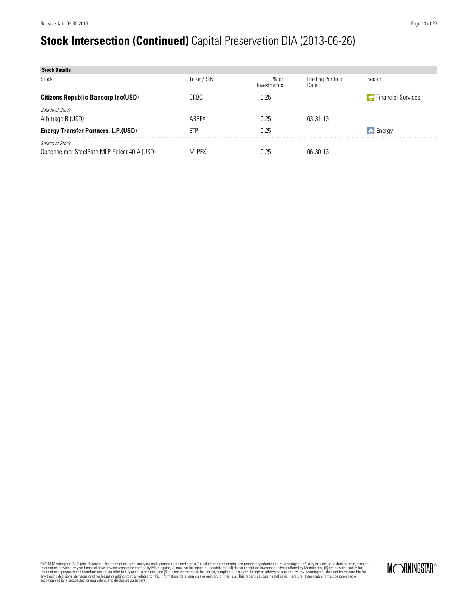# **Stock Intersection (Continued)** Capital Preservation DIA (2013-06-26)

| <b>Stock Details</b>                        |             |                     |                                  |                             |
|---------------------------------------------|-------------|---------------------|----------------------------------|-----------------------------|
| Stock                                       | Ticker/ISIN | % of<br>Investments | <b>Holding Portfolio</b><br>Date | Sector                      |
| <b>Citizens Republic Bancorp Inc(USD)</b>   | CRBC        | 0.25                |                                  | <b>C</b> Financial Services |
| Source of Stock                             |             |                     |                                  |                             |
| Arbitrage R (USD)                           | ARBFX       | 0.25                | $03 - 31 - 13$                   |                             |
| <b>Energy Transfer Partners, L.P.(USD)</b>  | ETF         | 0.25                |                                  | <b>A</b> Energy             |
| <b>Source of Stock</b>                      |             |                     |                                  |                             |
| Oppenheimer SteelPath MLP Select 40 A (USD) | MI PFX      |                     | በ6-30-13                         |                             |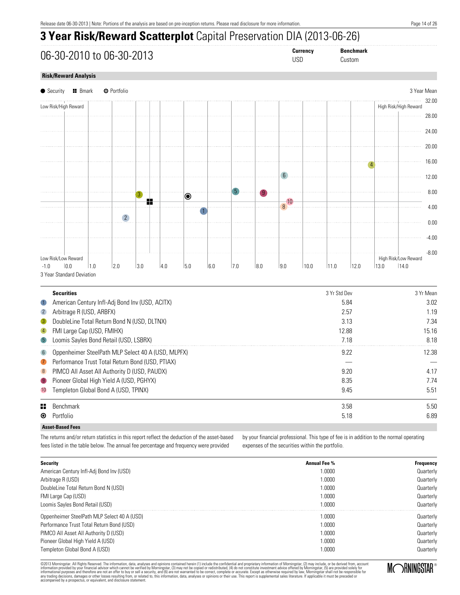### **3 Year Risk/Reward Scatterplot** Capital Preservation DIA (2013-06-26)

06-30-2010 to 06-30-2013 **Currency Benchmark**

Custom

#### **Risk/Reward Analysis**



|                 | <b>Securities</b>                                  | 3 Yr Std Dev | 3 Yr Mean |
|-----------------|----------------------------------------------------|--------------|-----------|
| $\bigcirc$      | American Century Infl-Adj Bond Inv (USD, ACITX)    | 5.84         | 3.02      |
| $\overline{2}$  | Arbitrage R (USD, ARBFX)                           | 2.57         | 1.19      |
| $\bullet$       | DoubleLine Total Return Bond N (USD, DLTNX)        | 3.13         | 7.34      |
| $\vert 4 \vert$ | FMI Large Cap (USD, FMIHX)                         | 12.88        | 15.16     |
| $\sqrt{5}$      | Loomis Sayles Bond Retail (USD, LSBRX)             | 7.18         | 8.18      |
| 6               | Oppenheimer SteelPath MLP Select 40 A (USD, MLPFX) | 9.22         | 12.38     |
| $\bullet$       | Performance Trust Total Return Bond (USD, PTIAX)   |              |           |
| 8               | PIMCO All Asset All Authority D (USD, PAUDX)       | 9.20         | 4.17      |
| $\overline{9}$  | Pioneer Global High Yield A (USD, PGHYX)           | 8.35         | 7.74      |
| 10              | Templeton Global Bond A (USD, TPINX)               | 9.45         | 5.51      |
| 85.             | Benchmark                                          | 3.58         | 5.50      |
| ◉               | Portfolio                                          | 5.18         | 6.89      |
|                 | <b>Asset-Based Fees</b>                            |              |           |

The returns and/or return statistics in this report reflect the deduction of the asset-based fees listed in the table below. The annual fee percentage and frequency were provided

by your financial professional. This type of fee is in addition to the normal operating expenses of the securities within the portfolio.

| Security                                    | <b>Annual Fee %</b> | Frequency |
|---------------------------------------------|---------------------|-----------|
| American Century Infl-Adj Bond Inv (USD)    | 1.0000              | Quarterly |
| Arbitrage R (USD)                           | 1.0000              | Quarterly |
| DoubleLine Total Return Bond N (USD)        | 1.0000              | Quarterly |
| FMI Large Cap (USD)                         | 1.0000              | Quarterly |
| Loomis Sayles Bond Retail (USD)             | 1.0000              | Quarterly |
| Oppenheimer SteelPath MLP Select 40 A (USD) | 1.0000              | Quarterly |
| Performance Trust Total Return Bond (USD)   | 1.0000              | Quarterly |
| PIMCO All Asset All Authority D (USD)       | 1.0000              | Quarterly |
| Pioneer Global High Yield A (USD)           | 1.0000              | Quarterly |
| Templeton Global Bond A (USD)               | 1.0000              | Quarterly |

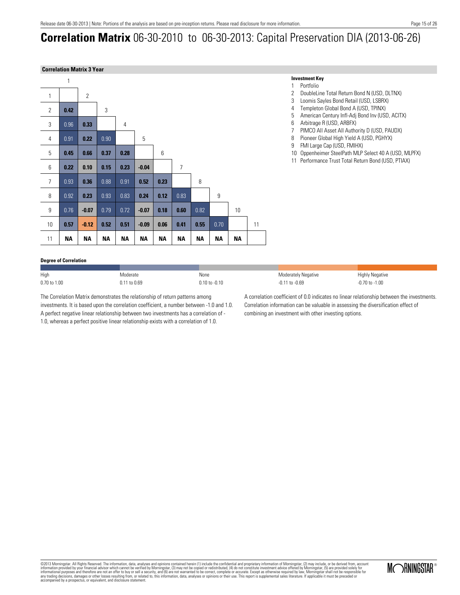### **Correlation Matrix** 06-30-2010 to 06-30-2013: Capital Preservation DIA (2013-06-26)

#### **Correlation Matrix 3 Year**



#### **Investment Key**

Moderately Negative -0.11 to -0.69

- 1 Portfolio
- 2 DoubleLine Total Return Bond N (USD, DLTNX)
- 3 Loomis Sayles Bond Retail (USD, LSBRX)
- 
- 4 Templeton Global Bond A (USD, TPINX)<br>5 American Century Infl-Adi Bond Inv (USI 5 American Century Infl-Adj Bond Inv (USD, ACITX)
- 6 Arbitrage R (USD, ARBFX)
- 7 PIMCO All Asset All Authority D (USD, PAUDX)
- 8 Pioneer Global High Yield A (USD, PGHYX)
- 9 FMI Large Cap (USD, FMIHX)
- 10 Oppenheimer SteelPath MLP Select 40 A (USD, MLPFX)
- 11 Performance Trust Total Return Bond (USD, PTIAX)

#### **Degree of Correlation**

| High         | Moderate     | None              |
|--------------|--------------|-------------------|
| 0.70 to 1.00 | 0.11 to 0.69 | $0.10$ to $-0.10$ |

The Correlation Matrix demonstrates the relationship of return patterns among investments. It is based upon the correlation coefficient, a number between -1.0 and 1.0. A perfect negative linear relationship between two investments has a correlation of - 1.0, whereas a perfect positive linear relationship exists with a correlation of 1.0.

A correlation coefficient of 0.0 indicates no linear relationship between the investments. Correlation information can be valuable in assessing the diversification effect of combining an investment with other investing options.

Highly Negative -0.70 to -1.00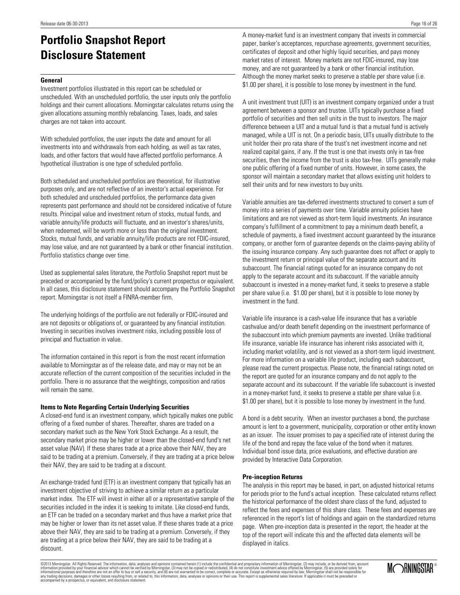### **Portfolio Snapshot Report Disclosure Statement**

#### **General**

Investment portfolios illustrated in this report can be scheduled or unscheduled. With an unscheduled portfolio, the user inputs only the portfolio holdings and their current allocations. Morningstar calculates returns using the given allocations assuming monthly rebalancing. Taxes, loads, and sales charges are not taken into account.

With scheduled portfolios, the user inputs the date and amount for all investments into and withdrawals from each holding, as well as tax rates, loads, and other factors that would have affected portfolio performance. A hypothetical illustration is one type of scheduled portfolio.

Both scheduled and unscheduled portfolios are theoretical, for illustrative purposes only, and are not reflective of an investor's actual experience. For both scheduled and unscheduled portfolios, the performance data given represents past performance and should not be considered indicative of future results. Principal value and investment return of stocks, mutual funds, and variable annuity/life products will fluctuate, and an investor's shares/units, when redeemed, will be worth more or less than the original investment. Stocks, mutual funds, and variable annuity/life products are not FDIC-insured, may lose value, and are not guaranteed by a bank or other financial institution. Portfolio statistics change over time.

Used as supplemental sales literature, the Portfolio Snapshot report must be preceded or accompanied by the fund/policy's current prospectus or equivalent. In all cases, this disclosure statement should accompany the Portfolio Snapshot report. Morningstar is not itself a FINRA-member firm.

The underlying holdings of the portfolio are not federally or FDIC-insured and are not deposits or obligations of, or guaranteed by any financial institution. Investing in securities involves investment risks, including possible loss of principal and fluctuation in value.

The information contained in this report is from the most recent information available to Morningstar as of the release date, and may or may not be an accurate reflection of the current composition of the securities included in the portfolio. There is no assurance that the weightings, composition and ratios will remain the same.

#### **Items to Note Regarding Certain Underlying Securities**

A closed-end fund is an investment company, which typically makes one public offering of a fixed number of shares. Thereafter, shares are traded on a secondary market such as the New York Stock Exchange. As a result, the secondary market price may be higher or lower than the closed-end fund's net asset value (NAV). If these shares trade at a price above their NAV, they are said to be trading at a premium. Conversely, if they are trading at a price below their NAV, they are said to be trading at a discount.

An exchange-traded fund (ETF) is an investment company that typically has an investment objective of striving to achieve a similar return as a particular market index. The ETF will invest in either all or a representative sample of the securities included in the index it is seeking to imitate. Like closed-end funds, an ETF can be traded on a secondary market and thus have a market price that may be higher or lower than its net asset value. If these shares trade at a price above their NAV, they are said to be trading at a premium. Conversely, if they are trading at a price below their NAV, they are said to be trading at a discount.

paper, banker's acceptances, repurchase agreements, government securities, certificates of deposit and other highly liquid securities, and pays money market rates of interest. Money markets are not FDIC-insured, may lose money, and are not guaranteed by a bank or other financial institution. Although the money market seeks to preserve a stable per share value (i.e. \$1.00 per share), it is possible to lose money by investment in the fund.

A unit investment trust (UIT) is an investment company organized under a trust agreement between a sponsor and trustee. UITs typically purchase a fixed portfolio of securities and then sell units in the trust to investors. The major difference between a UIT and a mutual fund is that a mutual fund is actively managed, while a UIT is not. On a periodic basis, UITs usually distribute to the unit holder their pro rata share of the trust's net investment income and net realized capital gains, if any. If the trust is one that invests only in tax-free securities, then the income from the trust is also tax-free. UITs generally make one public offering of a fixed number of units. However, in some cases, the sponsor will maintain a secondary market that allows existing unit holders to sell their units and for new investors to buy units.

Variable annuities are tax-deferred investments structured to convert a sum of money into a series of payments over time. Variable annuity policies have limitations and are not viewed as short-term liquid investments. An insurance company's fulfillment of a commitment to pay a minimum death benefit, a schedule of payments, a fixed investment account guaranteed by the insurance company, or another form of guarantee depends on the claims-paying ability of the issuing insurance company. Any such guarantee does not affect or apply to the investment return or principal value of the separate account and its subaccount. The financial ratings quoted for an insurance company do not apply to the separate account and its subaccount. If the variable annuity subaccount is invested in a money-market fund, it seeks to preserve a stable per share value (i.e. \$1.00 per share), but it is possible to lose money by investment in the fund.

Variable life insurance is a cash-value life insurance that has a variable cashvalue and/or death benefit depending on the investment performance of the subaccount into which premium payments are invested. Unlike traditional life insurance, variable life insurance has inherent risks associated with it, including market volatility, and is not viewed as a short-term liquid investment. For more information on a variable life product, including each subaccount, please read the current prospectus. Please note, the financial ratings noted on the report are quoted for an insurance company and do not apply to the separate account and its subaccount. If the variable life subaccount is invested in a money-market fund, it seeks to preserve a stable per share value (i.e. \$1.00 per share), but it is possible to lose money by investment in the fund.

A bond is a debt security. When an investor purchases a bond, the purchase amount is lent to a government, municipality, corporation or other entity known as an issuer. The issuer promises to pay a specified rate of interest during the life of the bond and repay the face value of the bond when it matures. Individual bond issue data, price evaluations, and effective duration are provided by Interactive Data Corporation.

#### **Pre-inception Returns**

The analysis in this report may be based, in part, on adjusted historical returns for periods prior to the fund's actual inception. These calculated returns reflect the historical performance of the oldest share class of the fund, adjusted to reflect the fees and expenses of this share class. These fees and expenses are referenced in the report's list of holdings and again on the standardized returns page. When pre-inception data is presented in the report, the header at the top of the report will indicate this and the affected data elements will be displayed in italics.

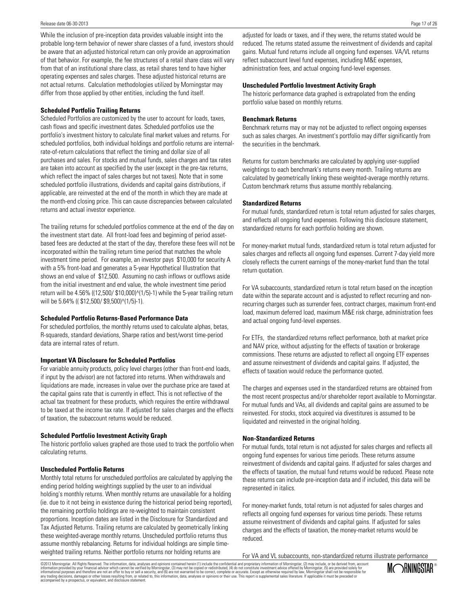#### Release date 06-30-2013

While the inclusion of pre-inception data provides valuable insight into the probable long-term behavior of newer share classes of a fund, investors should be aware that an adjusted historical return can only provide an approximation of that behavior. For example, the fee structures of a retail share class will vary from that of an institutional share class, as retail shares tend to have higher operating expenses and sales charges. These adjusted historical returns are not actual returns. Calculation methodologies utilized by Morningstar may differ from those applied by other entities, including the fund itself.

#### **Scheduled Portfolio Trailing Returns**

Scheduled Portfolios are customized by the user to account for loads, taxes, cash flows and specific investment dates. Scheduled portfolios use the portfolio's investment history to calculate final market values and returns. For scheduled portfolios, both individual holdings and portfolio returns are internalrate-of-return calculations that reflect the timing and dollar size of all purchases and sales. For stocks and mutual funds, sales charges and tax rates are taken into account as specified by the user (except in the pre-tax returns, which reflect the impact of sales charges but not taxes). Note that in some scheduled portfolio illustrations, dividends and capital gains distributions, if applicable, are reinvested at the end of the month in which they are made at the month-end closing price. This can cause discrepancies between calculated returns and actual investor experience.

The trailing returns for scheduled portfolios commence at the end of the day on the investment start date. All front-load fees and beginning of period assetbased fees are deducted at the start of the day, therefore these fees will not be incorporated within the trailing return time period that matches the whole investment time period. For example, an investor pays \$10,000 for security A with a 5% front-load and generates a 5-year Hypothetical Illustration that shows an end value of \$12,500. Assuming no cash inflows or outflows aside from the initial investment and end value, the whole investment time period return will be 4.56% ((12,500/ \$10,000)^(1/5)-1) while the 5-year trailing return will be 5.64% ((\$12,500/\$9,500)^(1/5)-1).

#### **Scheduled Portfolio Returns-Based Performance Data**

For scheduled portfolios, the monthly returns used to calculate alphas, betas, R-squareds, standard deviations, Sharpe ratios and best/worst time-period data are internal rates of return.

#### **Important VA Disclosure for Scheduled Portfolios**

For variable annuity products, policy level charges (other than front-end loads, if input by the advisor) are not factored into returns. When withdrawals and liquidations are made, increases in value over the purchase price are taxed at the capital gains rate that is currently in effect. This is not reflective of the actual tax treatment for these products, which requires the entire withdrawal to be taxed at the income tax rate. If adjusted for sales charges and the effects of taxation, the subaccount returns would be reduced.

#### **Scheduled Portfolio Investment Activity Graph**

The historic portfolio values graphed are those used to track the portfolio when calculating returns.

#### **Unscheduled Portfolio Returns**

Monthly total returns for unscheduled portfolios are calculated by applying the ending period holding weightings supplied by the user to an individual holding's monthly returns. When monthly returns are unavailable for a holding (ie. due to it not being in existence during the historical period being reported), the remaining portfolio holdings are re-weighted to maintain consistent proportions. Inception dates are listed in the Disclosure for Standardized and Tax Adjusted Returns. Trailing returns are calculated by geometrically linking these weighted-average monthly returns. Unscheduled portfolio returns thus assume monthly rebalancing. Returns for individual holdings are simple timeweighted trailing returns. Neither portfolio returns nor holding returns are

adjusted for loads or taxes, and if they were, the returns stated would be reduced. The returns stated assume the reinvestment of dividends and capital gains. Mutual fund returns include all ongoing fund expenses. VA/VL returns reflect subaccount level fund expenses, including M&E expenses, administration fees, and actual ongoing fund-level expenses.

#### **Unscheduled Portfolio Investment Activity Graph**

The historic performance data graphed is extrapolated from the ending portfolio value based on monthly returns.

#### **Benchmark Returns**

Benchmark returns may or may not be adjusted to reflect ongoing expenses such as sales charges. An investment's portfolio may differ significantly from the securities in the benchmark.

Returns for custom benchmarks are calculated by applying user-supplied weightings to each benchmark's returns every month. Trailing returns are calculated by geometrically linking these weighted-average monthly returns. Custom benchmark returns thus assume monthly rebalancing.

#### **Standardized Returns**

For mutual funds, standardized return is total return adjusted for sales charges, and reflects all ongoing fund expenses. Following this disclosure statement, standardized returns for each portfolio holding are shown.

For money-market mutual funds, standardized return is total return adjusted for sales charges and reflects all ongoing fund expenses. Current 7-day yield more closely reflects the current earnings of the money-market fund than the total return quotation.

For VA subaccounts, standardized return is total return based on the inception date within the separate account and is adjusted to reflect recurring and nonrecurring charges such as surrender fees, contract charges, maximum front-end load, maximum deferred load, maximum M&E risk charge, administration fees and actual ongoing fund-level expenses.

For ETFs, the standardized returns reflect performance, both at market price and NAV price, without adjusting for the effects of taxation or brokerage commissions. These returns are adjusted to reflect all ongoing ETF expenses and assume reinvestment of dividends and capital gains. If adjusted, the effects of taxation would reduce the performance quoted.

The charges and expenses used in the standardized returns are obtained from the most recent prospectus and/or shareholder report available to Morningstar. For mutual funds and VAs, all dividends and capital gains are assumed to be reinvested. For stocks, stock acquired via divestitures is assumed to be liquidated and reinvested in the original holding.

#### **Non-Standardized Returns**

For mutual funds, total return is not adjusted for sales charges and reflects all ongoing fund expenses for various time periods. These returns assume reinvestment of dividends and capital gains. If adjusted for sales charges and the effects of taxation, the mutual fund returns would be reduced. Please note these returns can include pre-inception data and if included, this data will be represented in italics.

For money-market funds, total return is not adjusted for sales charges and reflects all ongoing fund expenses for various time periods. These returns assume reinvestment of dividends and capital gains. If adjusted for sales charges and the effects of taxation, the money-market returns would be reduced.

For VA and VL subaccounts, non-standardized returns illustrate performance

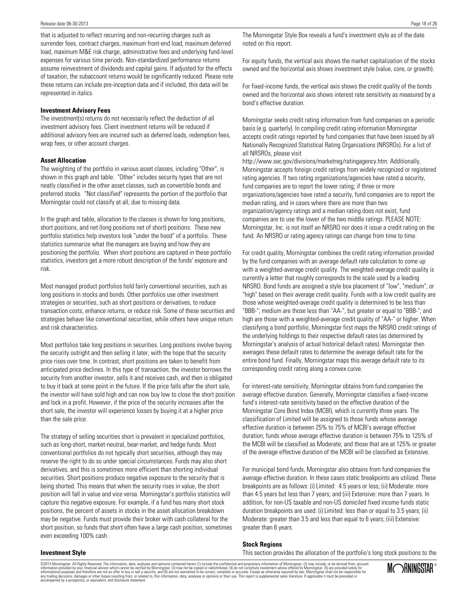that is adjusted to reflect recurring and non-recurring charges such as surrender fees, contract charges, maximum front-end load, maximum deferred load, maximum M&E risk charge, administrative fees and underlying fund-level expenses for various time periods. Non-standardized performance returns assume reinvestment of dividends and capital gains. If adjusted for the effects of taxation, the subaccount returns would be significantly reduced. Please note these returns can include pre-inception data and if included, this data will be represented in italics.

#### **Investment Advisory Fees**

The investment(s) returns do not necessarily reflect the deduction of all investment advisory fees. Client investment returns will be reduced if additional advisory fees are incurred such as deferred loads, redemption fees, wrap fees, or other account charges.

#### **Asset Allocation**

The weighting of the portfolio in various asset classes, including "Other", is shown in this graph and table. "Other" includes security types that are not neatly classified in the other asset classes, such as convertible bonds and preferred stocks. "Not classified" represents the portion of the portfolio that Morningstar could not classify at all, due to missing data.

In the graph and table, allocation to the classes is shown for long positions, short positions, and net (long positions net of short) positions. These new portfolio statistics help investors look "under the hood" of a portfolio. These statistics summarize what the managers are buying and how they are positioning the portfolio. When short positions are captured in these portfolio statistics, investors get a more robust description of the funds' exposure and risk.

Most managed product portfolios hold fairly conventional securities, such as long positions in stocks and bonds. Other portfolios use other investment strategies or securities, such as short positions or derivatives, to reduce transaction costs, enhance returns, or reduce risk. Some of these securities and strategies behave like conventional securities, while others have unique return and risk characteristics.

Most portfolios take long positions in securities. Long positions involve buying the security outright and then selling it later, with the hope that the security price rises over time. In contrast, short positions are taken to benefit from anticipated price declines. In this type of transaction, the investor borrows the security from another investor, sells it and receives cash, and then is obligated to buy it back at some point in the future. If the price falls after the short sale, the investor will have sold high and can now buy low to close the short position and lock in a profit. However, if the price of the security increases after the short sale, the investor will experience losses by buying it at a higher price than the sale price.

The strategy of selling securities short is prevalent in specialized portfolios, such as long-short, market-neutral, bear-market, and hedge funds. Most conventional portfolios do not typically short securities, although they may reserve the right to do so under special circumstances. Funds may also short derivatives, and this is sometimes more efficient than shorting individual securities. Short positions produce negative exposure to the security that is being shorted. This means that when the security rises in value, the short position will fall in value and vice versa. Morningstar's portfolio statistics will capture this negative exposure. For example, if a fund has many short stock positions, the percent of assets in stocks in the asset allocation breakdown may be negative. Funds must provide their broker with cash collateral for the short position, so funds that short often have a large cash position, sometimes even exceeding 100% cash.

The Morningstar Style Box reveals a fund's investment style as of the date noted on this report.

For equity funds, the vertical axis shows the market capitalization of the stocks owned and the horizontal axis shows investment style (value, core, or growth).

For fixed-income funds, the vertical axis shows the credit quality of the bonds owned and the horizontal axis shows interest rate sensitivity as measured by a bond's effective duration.

Morningstar seeks credit rating information from fund companies on a periodic basis (e.g. quarterly). In compiling credit rating information Morningstar accepts credit ratings reported by fund companies that have been issued by all Nationally Recognized Statistical Rating Organizations (NRSROs). For a list of all NRSROs, please visit

http://www.sec.gov/divisions/marketreg/ratingagency.htm. Additionally, Morningstar accepts foreign credit ratings from widely recognized or registered rating agencies. If two rating organizations/agencies have rated a security, fund companies are to report the lower rating; if three or more organizations/agencies have rated a security, fund companies are to report the median rating, and in cases where there are more than two organization/agency ratings and a median rating does not exist, fund companies are to use the lower of the two middle ratings. PLEASE NOTE: Morningstar, Inc. is not itself an NRSRO nor does it issue a credit rating on the fund. An NRSRO or rating agency ratings can change from time to time.

For credit quality, Morningstar combines the credit rating information provided by the fund companies with an average default rate calculation to come up with a weighted-average credit quality. The weighted-average credit quality is currently a letter that roughly corresponds to the scale used by a leading NRSRO. Bond funds are assigned a style box placement of "low", "medium", or "high" based on their average credit quality. Funds with a low credit quality are those whose weighted-average credit quality is determined to be less than "BBB-"; medium are those less than "AA-", but greater or equal to "BBB-"; and high are those with a weighted-average credit quality of "AA-" or higher. When classifying a bond portfolio, Morningstar first maps the NRSRO credit ratings of the underlying holdings to their respective default rates (as determined by Morningstar's analysis of actual historical default rates). Morningstar then averages these default rates to determine the average default rate for the entire bond fund. Finally, Morningstar maps this average default rate to its corresponding credit rating along a convex curve.

For interest-rate sensitivity, Morningstar obtains from fund companies the average effective duration. Generally, Morningstar classifies a fixed-income fund's interest-rate sensitivity based on the effective duration of the Morningstar Core Bond Index (MCBI), which is currently three years. The classification of Limited will be assigned to those funds whose average effective duration is between 25% to 75% of MCBI's average effective duration; funds whose average effective duration is between 75% to 125% of the MCBI will be classified as Moderate; and those that are at 125% or greater of the average effective duration of the MCBI will be classified as Extensive.

For municipal bond funds, Morningstar also obtains from fund companies the average effective duration. In these cases static breakpoints are utilized. These breakpoints are as follows: (i) Limited: 4.5 years or less; (ii) Moderate: more than 4.5 years but less than 7 years; and (iii) Extensive: more than 7 years. In addition, for non-US taxable and non-US domiciled fixed income funds static duration breakpoints are used: (i) Limited: less than or equal to 3.5 years; (ii) Moderate: greater than 3.5 and less than equal to 6 years; (iii) Extensive: greater than 6 years.

#### **Stock Regions**

This section provides the allocation of the portfolio's long stock positions to the

**Investment Style**

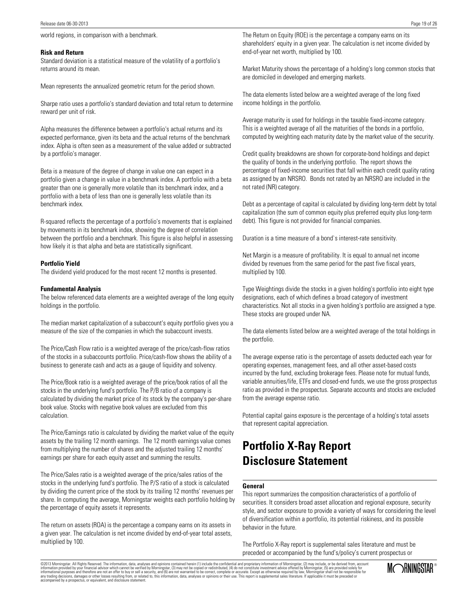#### **Risk and Return**

Standard deviation is a statistical measure of the volatility of a portfolio's returns around its mean.

Mean represents the annualized geometric return for the period shown.

Sharpe ratio uses a portfolio's standard deviation and total return to determine reward per unit of risk.

Alpha measures the difference between a portfolio's actual returns and its expected performance, given its beta and the actual returns of the benchmark index. Alpha is often seen as a measurement of the value added or subtracted by a portfolio's manager.

Beta is a measure of the degree of change in value one can expect in a portfolio given a change in value in a benchmark index. A portfolio with a beta greater than one is generally more volatile than its benchmark index, and a portfolio with a beta of less than one is generally less volatile than its benchmark index.

R-squared reflects the percentage of a portfolio's movements that is explained by movements in its benchmark index, showing the degree of correlation between the portfolio and a benchmark. This figure is also helpful in assessing how likely it is that alpha and beta are statistically significant.

#### **Portfolio Yield**

The dividend yield produced for the most recent 12 months is presented.

#### **Fundamental Analysis**

The below referenced data elements are a weighted average of the long equity holdings in the portfolio.

The median market capitalization of a subaccount's equity portfolio gives you a measure of the size of the companies in which the subaccount invests.

The Price/Cash Flow ratio is a weighted average of the price/cash-flow ratios of the stocks in a subaccounts portfolio. Price/cash-flow shows the ability of a business to generate cash and acts as a gauge of liquidity and solvency.

The Price/Book ratio is a weighted average of the price/book ratios of all the stocks in the underlying fund's portfolio. The P/B ratio of a company is calculated by dividing the market price of its stock by the company's per-share book value. Stocks with negative book values are excluded from this calculation.

The Price/Earnings ratio is calculated by dividing the market value of the equity assets by the trailing 12 month earnings. The 12 month earnings value comes from multiplying the number of shares and the adjusted trailing 12 months' earnings per share for each equity asset and summing the results.

The Price/Sales ratio is a weighted average of the price/sales ratios of the stocks in the underlying fund's portfolio. The P/S ratio of a stock is calculated by dividing the current price of the stock by its trailing 12 months' revenues per share. In computing the average, Morningstar weights each portfolio holding by the percentage of equity assets it represents.

The return on assets (ROA) is the percentage a company earns on its assets in a given year. The calculation is net income divided by end-of-year total assets, multiplied by 100.

The Return on Equity (ROE) is the percentage a company earns on its shareholders' equity in a given year. The calculation is net income divided by end-of-year net worth, multiplied by 100.

Market Maturity shows the percentage of a holding's long common stocks that are domiciled in developed and emerging markets.

The data elements listed below are a weighted average of the long fixed income holdings in the portfolio.

Average maturity is used for holdings in the taxable fixed-income category. This is a weighted average of all the maturities of the bonds in a portfolio, computed by weighting each maturity date by the market value of the security.

Credit quality breakdowns are shown for corporate-bond holdings and depict the quality of bonds in the underlying portfolio. The report shows the percentage of fixed-income securities that fall within each credit quality rating as assigned by an NRSRO. Bonds not rated by an NRSRO are included in the not rated (NR) category.

Debt as a percentage of capital is calculated by dividing long-term debt by total capitalization (the sum of common equity plus preferred equity plus long-term debt). This figure is not provided for financial companies.

Duration is a time measure of a bond`s interest-rate sensitivity.

Net Margin is a measure of profitability. It is equal to annual net income divided by revenues from the same period for the past five fiscal years, multiplied by 100.

Type Weightings divide the stocks in a given holding's portfolio into eight type designations, each of which defines a broad category of investment characteristics. Not all stocks in a given holding's portfolio are assigned a type. These stocks are grouped under NA.

The data elements listed below are a weighted average of the total holdings in the portfolio.

The average expense ratio is the percentage of assets deducted each year for operating expenses, management fees, and all other asset-based costs incurred by the fund, excluding brokerage fees. Please note for mutual funds, variable annuities/life, ETFs and closed-end funds, we use the gross prospectus ratio as provided in the prospectus. Separate accounts and stocks are excluded from the average expense ratio.

Potential capital gains exposure is the percentage of a holding's total assets that represent capital appreciation.

### **Portfolio X-Ray Report Disclosure Statement**

#### **General**

This report summarizes the composition characteristics of a portfolio of securities. It considers broad asset allocation and regional exposure, security style, and sector exposure to provide a variety of ways for considering the level of diversification within a portfolio, its potential riskiness, and its possible behavior in the future.

The Portfolio X-Ray report is supplemental sales literature and must be preceded or accompanied by the fund's/policy's current prospectus or

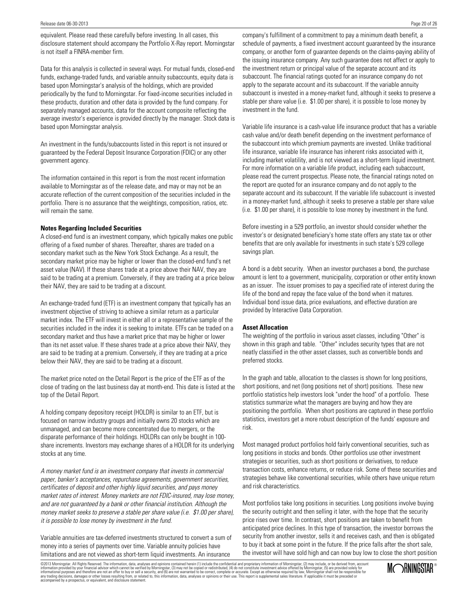equivalent. Please read these carefully before investing. In all cases, this disclosure statement should accompany the Portfolio X-Ray report. Morningstar is not itself a FINRA-member firm.

Data for this analysis is collected in several ways. For mutual funds, closed-end funds, exchange-traded funds, and variable annuity subaccounts, equity data is based upon Morningstar's analysis of the holdings, which are provided periodically by the fund to Morningstar. For fixed-income securities included in these products, duration and other data is provided by the fund company. For separately managed accounts, data for the account composite reflecting the average investor's experience is provided directly by the manager. Stock data is based upon Morningstar analysis.

An investment in the funds/subaccounts listed in this report is not insured or guaranteed by the Federal Deposit Insurance Corporation (FDIC) or any other government agency.

The information contained in this report is from the most recent information available to Morningstar as of the release date, and may or may not be an accurate reflection of the current composition of the securities included in the portfolio. There is no assurance that the weightings, composition, ratios, etc. will remain the same.

#### **Notes Regarding Included Securities**

A closed-end fund is an investment company, which typically makes one public offering of a fixed number of shares. Thereafter, shares are traded on a secondary market such as the New York Stock Exchange. As a result, the secondary market price may be higher or lower than the closed-end fund's net asset value (NAV). If these shares trade at a price above their NAV, they are said to be trading at a premium. Conversely, if they are trading at a price below their NAV, they are said to be trading at a discount.

An exchange-traded fund (ETF) is an investment company that typically has an investment objective of striving to achieve a similar return as a particular market index. The ETF will invest in either all or a representative sample of the securities included in the index it is seeking to imitate. ETFs can be traded on a secondary market and thus have a market price that may be higher or lower than its net asset value. If these shares trade at a price above their NAV, they are said to be trading at a premium. Conversely, if they are trading at a price below their NAV, they are said to be trading at a discount.

The market price noted on the Detail Report is the price of the ETF as of the close of trading on the last business day at month-end. This date is listed at the top of the Detail Report.

A holding company depository receipt (HOLDR) is similar to an ETF, but is focused on narrow industry groups and initially owns 20 stocks which are unmanaged, and can become more concentrated due to mergers, or the disparate performance of their holdings. HOLDRs can only be bought in 100 share increments. Investors may exchange shares of a HOLDR for its underlying stocks at any time.

A money market fund is an investment company that invests in commercial paper, banker's acceptances, repurchase agreements, government securities, certificates of deposit and other highly liquid securities, and pays money market rates of interest. Money markets are not FDIC-insured, may lose money, and are not guaranteed by a bank or other financial institution. Although the money market seeks to preserve a stable per share value (i.e. \$1.00 per share), it is possible to lose money by investment in the fund.

Variable annuities are tax-deferred investments structured to convert a sum of money into a series of payments over time. Variable annuity policies have limitations and are not viewed as short-term liquid investments. An insurance

company's fulfillment of a commitment to pay a minimum death benefit, a schedule of payments, a fixed investment account guaranteed by the insurance company, or another form of guarantee depends on the claims-paying ability of the issuing insurance company. Any such guarantee does not affect or apply to the investment return or principal value of the separate account and its subaccount. The financial ratings quoted for an insurance company do not apply to the separate account and its subaccount. If the variable annuity subaccount is invested in a money-market fund, although it seeks to preserve a stable per share value (i.e. \$1.00 per share), it is possible to lose money by investment in the fund.

Variable life insurance is a cash-value life insurance product that has a variable cash value and/or death benefit depending on the investment performance of the subaccount into which premium payments are invested. Unlike traditional life insurance, variable life insurance has inherent risks associated with it, including market volatility, and is not viewed as a short-term liquid investment. For more information on a variable life product, including each subaccount, please read the current prospectus. Please note, the financial ratings noted on the report are quoted for an insurance company and do not apply to the separate account and its subaccount. If the variable life subaccount is invested in a money-market fund, although it seeks to preserve a stable per share value (i.e. \$1.00 per share), it is possible to lose money by investment in the fund.

Before investing in a 529 portfolio, an investor should consider whether the investor's or designated beneficiary's home state offers any state tax or other benefits that are only available for investments in such state's 529 college savings plan.

A bond is a debt security. When an investor purchases a bond, the purchase amount is lent to a government, municipality, corporation or other entity known as an issuer. The issuer promises to pay a specified rate of interest during the life of the bond and repay the face value of the bond when it matures. Individual bond issue data, price evaluations, and effective duration are provided by Interactive Data Corporation.

#### **Asset Allocation**

The weighting of the portfolio in various asset classes, including "Other" is shown in this graph and table. "Other" includes security types that are not neatly classified in the other asset classes, such as convertible bonds and preferred stocks.

In the graph and table, allocation to the classes is shown for long positions, short positions, and net (long positions net of short) positions. These new portfolio statistics help investors look "under the hood" of a portfolio. These statistics summarize what the managers are buying and how they are positioning the portfolio. When short positions are captured in these portfolio statistics, investors get a more robust description of the funds' exposure and risk.

Most managed product portfolios hold fairly conventional securities, such as long positions in stocks and bonds. Other portfolios use other investment strategies or securities, such as short positions or derivatives, to reduce transaction costs, enhance returns, or reduce risk. Some of these securities and strategies behave like conventional securities, while others have unique return and risk characteristics.

Most portfolios take long positions in securities. Long positions involve buying the security outright and then selling it later, with the hope that the security price rises over time. In contrast, short positions are taken to benefit from anticipated price declines. In this type of transaction, the investor borrows the security from another investor, sells it and receives cash, and then is obligated to buy it back at some point in the future. If the price falls after the short sale, the investor will have sold high and can now buy low to close the short position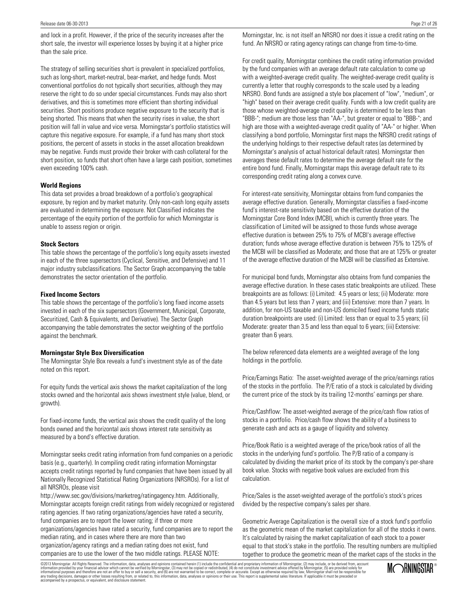and lock in a profit. However, if the price of the security increases after the short sale, the investor will experience losses by buying it at a higher price than the sale price.

The strategy of selling securities short is prevalent in specialized portfolios, such as long-short, market-neutral, bear-market, and hedge funds. Most conventional portfolios do not typically short securities, although they may reserve the right to do so under special circumstances. Funds may also short derivatives, and this is sometimes more efficient than shorting individual securities. Short positions produce negative exposure to the security that is being shorted. This means that when the security rises in value, the short position will fall in value and vice versa. Morningstar's portfolio statistics will capture this negative exposure. For example, if a fund has many short stock positions, the percent of assets in stocks in the asset allocation breakdown may be negative. Funds must provide their broker with cash collateral for the short position, so funds that short often have a large cash position, sometimes even exceeding 100% cash.

#### **World Regions**

This data set provides a broad breakdown of a portfolio's geographical exposure, by region and by market maturity. Only non-cash long equity assets are evaluated in determining the exposure. Not Classified indicates the percentage of the equity portion of the portfolio for which Morningstar is unable to assess region or origin.

#### **Stock Sectors**

This table shows the percentage of the portfolio's long equity assets invested in each of the three supersectors (Cyclical, Sensitive, and Defensive) and 11 major industry subclassifications. The Sector Graph accompanying the table demonstrates the sector orientation of the portfolio.

#### **Fixed Income Sectors**

This table shows the percentage of the portfolio's long fixed income assets invested in each of the six supersectors (Government, Municipal, Corporate, Securitized, Cash & Equivalents, and Derivative). The Sector Graph accompanying the table demonstrates the sector weighting of the portfolio against the benchmark.

#### **Morningstar Style Box Diversification**

The Morningstar Style Box reveals a fund's investment style as of the date noted on this report.

For equity funds the vertical axis shows the market capitalization of the long stocks owned and the horizontal axis shows investment style (value, blend, or growth).

For fixed-income funds, the vertical axis shows the credit quality of the long bonds owned and the horizontal axis shows interest rate sensitivity as measured by a bond's effective duration.

Morningstar seeks credit rating information from fund companies on a periodic basis (e.g., quarterly). In compiling credit rating information Morningstar accepts credit ratings reported by fund companies that have been issued by all Nationally Recognized Statistical Rating Organizations (NRSROs). For a list of all NRSROs, please visit

http://www.sec.gov/divisions/marketreg/ratingagency.htm. Additionally, Morningstar accepts foreign credit ratings from widely recognized or registered rating agencies. If two rating organizations/agencies have rated a security, fund companies are to report the lower rating; if three or more organizations/agencies have rated a security, fund companies are to report the median rating, and in cases where there are more than two

organization/agency ratings and a median rating does not exist, fund companies are to use the lower of the two middle ratings. PLEASE NOTE: Morningstar, Inc. is not itself an NRSRO nor does it issue a credit rating on the fund. An NRSRO or rating agency ratings can change from time-to-time.

For credit quality, Morningstar combines the credit rating information provided by the fund companies with an average default rate calculation to come up with a weighted-average credit quality. The weighted-average credit quality is currently a letter that roughly corresponds to the scale used by a leading NRSRO. Bond funds are assigned a style box placement of "low", "medium", or "high" based on their average credit quality. Funds with a low credit quality are those whose weighted-average credit quality is determined to be less than "BBB-"; medium are those less than "AA-", but greater or equal to "BBB-"; and high are those with a weighted-average credit quality of "AA-" or higher. When classifying a bond portfolio, Morningstar first maps the NRSRO credit ratings of the underlying holdings to their respective default rates (as determined by Morningstar's analysis of actual historical default rates). Morningstar then averages these default rates to determine the average default rate for the entire bond fund. Finally, Morningstar maps this average default rate to its corresponding credit rating along a convex curve.

For interest-rate sensitivity, Morningstar obtains from fund companies the average effective duration. Generally, Morningstar classifies a fixed-income fund's interest-rate sensitivity based on the effective duration of the Morningstar Core Bond Index (MCBI), which is currently three years. The classification of Limited will be assigned to those funds whose average effective duration is between 25% to 75% of MCBI's average effective duration; funds whose average effective duration is between 75% to 125% of the MCBI will be classified as Moderate; and those that are at 125% or greater of the average effective duration of the MCBI will be classified as Extensive.

For municipal bond funds, Morningstar also obtains from fund companies the average effective duration. In these cases static breakpoints are utilized. These breakpoints are as follows: (i) Limited: 4.5 years or less; (ii) Moderate: more than 4.5 years but less than 7 years; and (iii) Extensive: more than 7 years. In addition, for non-US taxable and non-US domiciled fixed income funds static duration breakpoints are used: (i) Limited: less than or equal to 3.5 years; (ii) Moderate: greater than 3.5 and less than equal to 6 years; (iii) Extensive: greater than 6 years.

The below referenced data elements are a weighted average of the long holdings in the portfolio.

Price/Earnings Ratio: The asset-weighted average of the price/earnings ratios of the stocks in the portfolio. The P/E ratio of a stock is calculated by dividing the current price of the stock by its trailing 12-months' earnings per share.

Price/Cashflow: The asset-weighted average of the price/cash flow ratios of stocks in a portfolio. Price/cash flow shows the ability of a business to generate cash and acts as a gauge of liquidity and solvency.

Price/Book Ratio is a weighted average of the price/book ratios of all the stocks in the underlying fund's portfolio. The P/B ratio of a company is calculated by dividing the market price of its stock by the company's per-share book value. Stocks with negative book values are excluded from this calculation.

Price/Sales is the asset-weighted average of the portfolio's stock's prices divided by the respective company's sales per share.

Geometric Average Capitalization is the overall size of a stock fund's portfolio as the geometric mean of the market capitalization for all of the stocks it owns. It's calculated by raising the market capitalization of each stock to a power equal to that stock's stake in the portfolio. The resulting numbers are multiplied together to produce the geometric mean of the market caps of the stocks in the

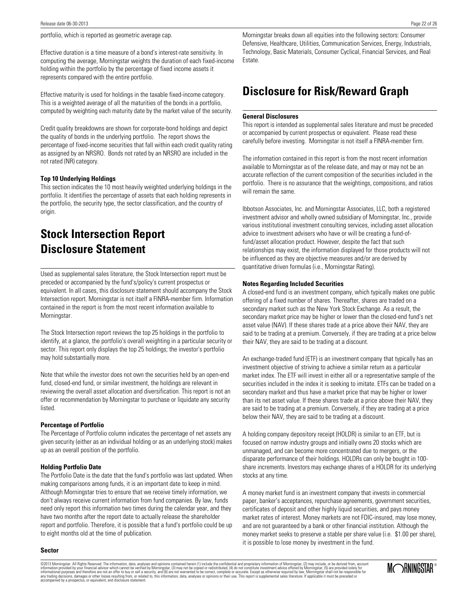portfolio, which is reported as geometric average cap.

Effective duration is a time measure of a bond's interest-rate sensitivity. In computing the average, Morningstar weights the duration of each fixed-income holding within the portfolio by the percentage of fixed income assets it represents compared with the entire portfolio.

Effective maturity is used for holdings in the taxable fixed-income category. This is a weighted average of all the maturities of the bonds in a portfolio, computed by weighting each maturity date by the market value of the security.

Credit quality breakdowns are shown for corporate-bond holdings and depict the quality of bonds in the underlying portfolio. The report shows the percentage of fixed-income securities that fall within each credit quality rating as assigned by an NRSRO. Bonds not rated by an NRSRO are included in the not rated (NR) category.

#### **Top 10 Underlying Holdings**

This section indicates the 10 most heavily weighted underlying holdings in the portfolio. It identifies the percentage of assets that each holding represents in the portfolio, the security type, the sector classification, and the country of origin.

### **Stock Intersection Report Disclosure Statement**

Used as supplemental sales literature, the Stock Intersection report must be preceded or accompanied by the fund's/policy's current prospectus or equivalent. In all cases, this disclosure statement should accompany the Stock Intersection report. Morningstar is not itself a FINRA-member firm. Information contained in the report is from the most recent information available to Morningstar.

The Stock Intersection report reviews the top 25 holdings in the portfolio to identify, at a glance, the portfolio's overall weighting in a particular security or sector. This report only displays the top 25 holdings; the investor's portfolio may hold substantially more.

Note that while the investor does not own the securities held by an open-end fund, closed-end fund, or similar investment, the holdings are relevant in reviewing the overall asset allocation and diversification. This report is not an offer or recommendation by Morningstar to purchase or liquidate any security listed.

#### **Percentage of Portfolio**

The Percentage of Portfolio column indicates the percentage of net assets any given security (either as an individual holding or as an underlying stock) makes up as an overall position of the portfolio.

#### **Holding Portfolio Date**

The Portfolio Date is the date that the fund's portfolio was last updated. When making comparisons among funds, it is an important date to keep in mind. Although Morningstar tries to ensure that we receive timely information, we don't always receive current information from fund companies. By law, funds need only report this information two times during the calendar year, and they have two months after the report date to actually release the shareholder report and portfolio. Therefore, it is possible that a fund's portfolio could be up to eight months old at the time of publication.

Morningstar breaks down all equities into the following sectors: Consumer Defensive, Healthcare, Utilities, Communication Services, Energy, Industrials, Technology, Basic Materials, Consumer Cyclical, Financial Services, and Real Estate.

### **Disclosure for Risk/Reward Graph**

#### **General Disclosures**

This report is intended as supplemental sales literature and must be preceded or accompanied by current prospectus or equivalent. Please read these carefully before investing. Morningstar is not itself a FINRA-member firm.

The information contained in this report is from the most recent information available to Morningstar as of the release date, and may or may not be an accurate reflection of the current composition of the securities included in the portfolio. There is no assurance that the weightings, compositions, and ratios will remain the same.

Ibbotson Associates, Inc. and Morningstar Associates, LLC, both a registered investment advisor and wholly owned subsidiary of Morningstar, Inc., provide various institutional investment consulting services, including asset allocation advice to investment advisers who have or will be creating a fund-offund/asset allocation product. However, despite the fact that such relationships may exist, the information displayed for those products will not be influenced as they are objective measures and/or are derived by quantitative driven formulas (i.e., Morningstar Rating).

#### **Notes Regarding Included Securities**

A closed-end fund is an investment company, which typically makes one public offering of a fixed number of shares. Thereafter, shares are traded on a secondary market such as the New York Stock Exchange. As a result, the secondary market price may be higher or lower than the closed-end fund's net asset value (NAV). If these shares trade at a price above their NAV, they are said to be trading at a premium. Conversely, if they are trading at a price below their NAV, they are said to be trading at a discount.

An exchange-traded fund (ETF) is an investment company that typically has an investment objective of striving to achieve a similar return as a particular market index. The ETF will invest in either all or a representative sample of the securities included in the index it is seeking to imitate. ETFs can be traded on a secondary market and thus have a market price that may be higher or lower than its net asset value. If these shares trade at a price above their NAV, they are said to be trading at a premium. Conversely, if they are trading at a price below their NAV, they are said to be trading at a discount.

A holding company depository receipt (HOLDR) is similar to an ETF, but is focused on narrow industry groups and initially owns 20 stocks which are unmanaged, and can become more concentrated due to mergers, or the disparate performance of their holdings. HOLDRs can only be bought in 100 share increments. Investors may exchange shares of a HOLDR for its underlying stocks at any time.

A money market fund is an investment company that invests in commercial paper, banker's acceptances, repurchase agreements, government securities, certificates of deposit and other highly liquid securities, and pays money market rates of interest. Money markets are not FDIC-insured, may lose money, and are not guaranteed by a bank or other financial institution. Although the money market seeks to preserve a stable per share value (i.e. \$1.00 per share), it is possible to lose money by investment in the fund.

#### **Sector**

©2013 Morningstar. All Rights Reserved. The information, data, analyses and opinions contained herein (1) include the confidential and proprietary information of Morningstar, (2) may include, or be derived from, account information provided by your financial advisor which cannot be verified by Morningstar, (3) may not be copied or redistributed, (4) do not constitute investment advice offered by Morningstar, (5) are provided solely for<br>in

MCORNINGSTAR<sup>®</sup>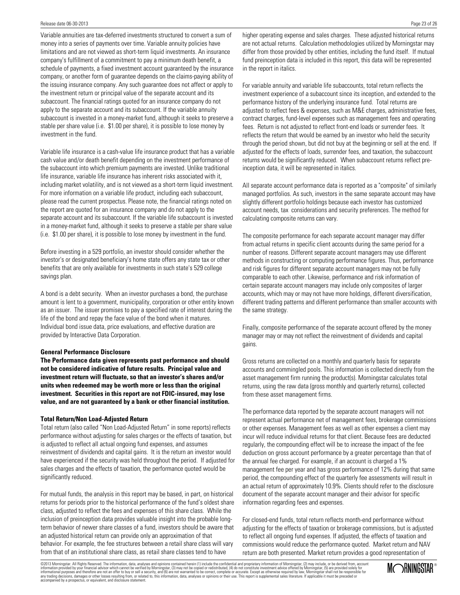Variable annuities are tax-deferred investments structured to convert a sum of money into a series of payments over time. Variable annuity policies have limitations and are not viewed as short-term liquid investments. An insurance company's fulfillment of a commitment to pay a minimum death benefit, a schedule of payments, a fixed investment account guaranteed by the insurance company, or another form of guarantee depends on the claims-paying ability of the issuing insurance company. Any such guarantee does not affect or apply to the investment return or principal value of the separate account and its subaccount. The financial ratings quoted for an insurance company do not apply to the separate account and its subaccount. If the variable annuity subaccount is invested in a money-market fund, although it seeks to preserve a stable per share value (i.e. \$1.00 per share), it is possible to lose money by investment in the fund.

Variable life insurance is a cash-value life insurance product that has a variable cash value and/or death benefit depending on the investment performance of the subaccount into which premium payments are invested. Unlike traditional life insurance, variable life insurance has inherent risks associated with it, including market volatility, and is not viewed as a short-term liquid investment. For more information on a variable life product, including each subaccount, please read the current prospectus. Please note, the financial ratings noted on the report are quoted for an insurance company and do not apply to the separate account and its subaccount. If the variable life subaccount is invested in a money-market fund, although it seeks to preserve a stable per share value (i.e. \$1.00 per share), it is possible to lose money by investment in the fund.

Before investing in a 529 portfolio, an investor should consider whether the investor's or designated beneficiary's home state offers any state tax or other benefits that are only available for investments in such state's 529 college savings plan.

A bond is a debt security. When an investor purchases a bond, the purchase amount is lent to a government, municipality, corporation or other entity known as an issuer. The issuer promises to pay a specified rate of interest during the life of the bond and repay the face value of the bond when it matures. Individual bond issue data, price evaluations, and effective duration are provided by Interactive Data Corporation.

#### **General Performance Disclosure**

**The Performance data given represents past performance and should not be considered indicative of future results. Principal value and investment return will fluctuate, so that an investor's shares and/or units when redeemed may be worth more or less than the original investment. Securities in this report are not FDIC-insured, may lose value, and are not guaranteed by a bank or other financial institution.**

#### **Total Return/Non Load-Adjusted Return**

Total return (also called "Non Load-Adjusted Return" in some reports) reflects performance without adjusting for sales charges or the effects of taxation, but is adjusted to reflect all actual ongoing fund expenses, and assumes reinvestment of dividends and capital gains. It is the return an investor would have experienced if the security was held throughout the period. If adjusted for sales charges and the effects of taxation, the performance quoted would be significantly reduced.

For mutual funds, the analysis in this report may be based, in part, on historical returns for periods prior to the historical performance of the fund's oldest share class, adjusted to reflect the fees and expenses of this share class. While the inclusion of preinception data provides valuable insight into the probable longterm behavior of newer share classes of a fund, investors should be aware that an adjusted historical return can provide only an approximation of that behavior. For example, the fee structures between a retail share class will vary from that of an institutional share class, as retail share classes tend to have

higher operating expense and sales charges. These adjusted historical returns are not actual returns. Calculation methodologies utilized by Morningstar may differ from those provided by other entities, including the fund itself. If mutual fund preinception data is included in this report, this data will be represented in the report in italics.

For variable annuity and variable life subaccounts, total return reflects the investment experience of a subaccount since its inception, and extended to the performance history of the underlying insurance fund. Total returns are adjusted to reflect fees & expenses, such as M&E charges, administrative fees, contract charges, fund-level expenses such as management fees and operating fees. Return is not adjusted to reflect front-end loads or surrender fees. It reflects the return that would be earned by an investor who held the security through the period shown, but did not buy at the beginning or sell at the end. If adjusted for the effects of loads, surrender fees, and taxation, the subaccount returns would be significantly reduced. When subaccount returns reflect preinception data, it will be represented in italics.

All separate account performance data is reported as a "composite" of similarly managed portfolios. As such, investors in the same separate account may have slightly different portfolio holdings because each investor has customized account needs, tax considerations and security preferences. The method for calculating composite returns can vary.

The composite performance for each separate account manager may differ from actual returns in specific client accounts during the same period for a number of reasons. Different separate account managers may use different methods in constructing or computing performance figures. Thus, performance and risk figures for different separate account managers may not be fully comparable to each other. Likewise, performance and risk information of certain separate account managers may include only composites of larger accounts, which may or may not have more holdings, different diversification, different trading patterns and different performance than smaller accounts with the same strategy.

Finally, composite performance of the separate account offered by the money manager may or may not reflect the reinvestment of dividends and capital gains.

Gross returns are collected on a monthly and quarterly basis for separate accounts and commingled pools. This information is collected directly from the asset management firm running the product(s). Morningstar calculates total returns, using the raw data (gross monthly and quarterly returns), collected from these asset management firms.

The performance data reported by the separate account managers will not represent actual performance net of management fees, brokerage commissions or other expenses. Management fees as well as other expenses a client may incur will reduce individual returns for that client. Because fees are deducted regularly, the compounding effect will be to increase the impact of the fee deduction on gross account performance by a greater percentage than that of the annual fee charged. For example, if an account is charged a 1% management fee per year and has gross performance of 12% during that same period, the compounding effect of the quarterly fee assessments will result in an actual return of approximately 10.9%. Clients should refer to the disclosure document of the separate account manager and their advisor for specific information regarding fees and expenses.

For closed-end funds, total return reflects month-end performance without adjusting for the effects of taxation or brokerage commissions, but is adjusted to reflect all ongoing fund expenses. If adjusted, the effects of taxation and commissions would reduce the performance quoted. Market return and NAV return are both presented. Market return provides a good representation of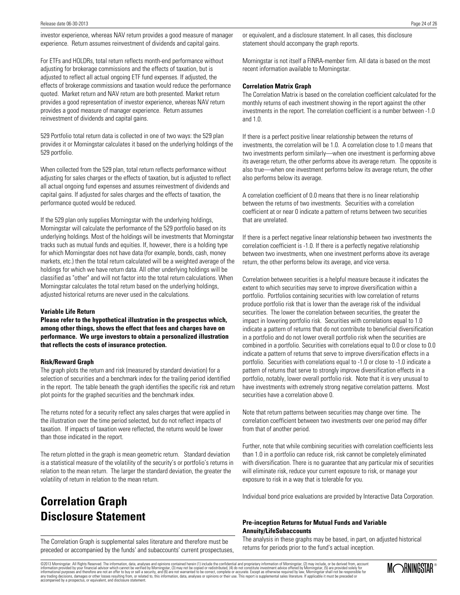investor experience, whereas NAV return provides a good measure of manager experience. Return assumes reinvestment of dividends and capital gains.

For ETFs and HOLDRs, total return reflects month-end performance without adjusting for brokerage commissions and the effects of taxation, but is adjusted to reflect all actual ongoing ETF fund expenses. If adjusted, the effects of brokerage commissions and taxation would reduce the performance quoted. Market return and NAV return are both presented. Market return provides a good representation of investor experience, whereas NAV return provides a good measure of manager experience. Return assumes reinvestment of dividends and capital gains.

529 Portfolio total return data is collected in one of two ways: the 529 plan provides it or Morningstar calculates it based on the underlying holdings of the 529 portfolio.

When collected from the 529 plan, total return reflects performance without adjusting for sales charges or the effects of taxation, but is adjusted to reflect all actual ongoing fund expenses and assumes reinvestment of dividends and capital gains. If adjusted for sales charges and the effects of taxation, the performance quoted would be reduced.

If the 529 plan only supplies Morningstar with the underlying holdings, Morningstar will calculate the performance of the 529 portfolio based on its underlying holdings. Most of the holdings will be investments that Morningstar tracks such as mutual funds and equities. If, however, there is a holding type for which Morningstar does not have data (for example, bonds, cash, money markets, etc.) then the total return calculated will be a weighted average of the holdings for which we have return data. All other underlying holdings will be classified as "other" and will not factor into the total return calculations. When Morningstar calculates the total return based on the underlying holdings, adjusted historical returns are never used in the calculations.

#### **Variable Life Return**

**Please refer to the hypothetical illustration in the prospectus which, among other things, shows the effect that fees and charges have on performance. We urge investors to obtain a personalized illustration that reflects the costs of insurance protection.**

#### **Risk/Reward Graph**

The graph plots the return and risk (measured by standard deviation) for a selection of securities and a benchmark index for the trailing period identified in the report. The table beneath the graph identifies the specific risk and return plot points for the graphed securities and the benchmark index.

The returns noted for a security reflect any sales charges that were applied in the illustration over the time period selected, but do not reflect impacts of taxation. If impacts of taxation were reflected, the returns would be lower than those indicated in the report.

The return plotted in the graph is mean geometric return. Standard deviation is a statistical measure of the volatility of the security's or portfolio's returns in relation to the mean return. The larger the standard deviation, the greater the volatility of return in relation to the mean return.

### **Correlation Graph Disclosure Statement**

The Correlation Graph is supplemental sales literature and therefore must be preceded or accompanied by the funds' and subaccounts' current prospectuses, or equivalent, and a disclosure statement. In all cases, this disclosure statement should accompany the graph reports.

Morningstar is not itself a FINRA-member firm. All data is based on the most recent information available to Morningstar.

### **Correlation Matrix Graph**

The Correlation Matrix is based on the correlation coefficient calculated for the monthly returns of each investment showing in the report against the other investments in the report. The correlation coefficient is a number between -1.0 and 1.0.

If there is a perfect positive linear relationship between the returns of investments, the correlation will be 1.0. A correlation close to 1.0 means that two investments perform similarly—when one investment is performing above its average return, the other performs above its average return. The opposite is also true—when one investment performs below its average return, the other also performs below its average.

A correlation coefficient of 0.0 means that there is no linear relationship between the returns of two investments. Securities with a correlation coefficient at or near 0 indicate a pattern of returns between two securities that are unrelated.

If there is a perfect negative linear relationship between two investments the correlation coefficient is -1.0. If there is a perfectly negative relationship between two investments, when one investment performs above its average return, the other performs below its average, and vice versa.

Correlation between securities is a helpful measure because it indicates the extent to which securities may serve to improve diversification within a portfolio. Portfolios containing securities with low correlation of returns produce portfolio risk that is lower than the average risk of the individual securities. The lower the correlation between securities, the greater the impact in lowering portfolio risk. Securities with correlations equal to 1.0 indicate a pattern of returns that do not contribute to beneficial diversification in a portfolio and do not lower overall portfolio risk when the securities are combined in a portfolio. Securities with correlations equal to 0.0 or close to 0.0 indicate a pattern of returns that serve to improve diversification effects in a portfolio. Securities with correlations equal to -1.0 or close to -1.0 indicate a pattern of returns that serve to strongly improve diversification effects in a portfolio, notably, lower overall portfolio risk. Note that it is very unusual to have investments with extremely strong negative correlation patterns. Most securities have a correlation above 0.

Note that return patterns between securities may change over time. The correlation coefficient between two investments over one period may differ from that of another period.

Further, note that while combining securities with correlation coefficients less than 1.0 in a portfolio can reduce risk, risk cannot be completely eliminated with diversification. There is no guarantee that any particular mix of securities will eliminate risk, reduce your current exposure to risk, or manage your exposure to risk in a way that is tolerable for you.

Individual bond price evaluations are provided by Interactive Data Corporation.

#### **Pre-inception Returns for Mutual Funds and Variable Annuity/LifeSubaccounts**

The analysis in these graphs may be based, in part, on adjusted historical returns for periods prior to the fund's actual inception.

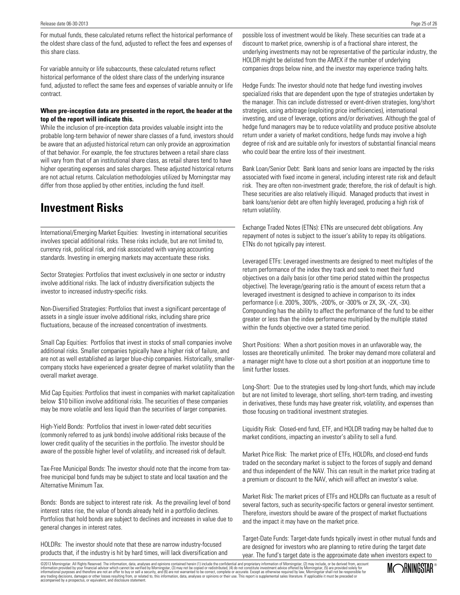For mutual funds, these calculated returns reflect the historical performance of the oldest share class of the fund, adjusted to reflect the fees and expenses of this share class.

For variable annuity or life subaccounts, these calculated returns reflect historical performance of the oldest share class of the underlying insurance fund, adjusted to reflect the same fees and expenses of variable annuity or life contract.

### **When pre-inception data are presented in the report, the header at the top of the report will indicate this.**

While the inclusion of pre-inception data provides valuable insight into the probable long-term behavior of newer share classes of a fund, investors should be aware that an adjusted historical return can only provide an approximation of that behavior. For example, the fee structures between a retail share class will vary from that of an institutional share class, as retail shares tend to have higher operating expenses and sales charges. These adjusted historical returns are not actual returns. Calculation methodologies utilized by Morningstar may differ from those applied by other entities, including the fund itself.

### **Investment Risks**

International/Emerging Market Equities: Investing in international securities involves special additional risks. These risks include, but are not limited to, currency risk, political risk, and risk associated with varying accounting standards. Investing in emerging markets may accentuate these risks.

Sector Strategies: Portfolios that invest exclusively in one sector or industry involve additional risks. The lack of industry diversification subjects the investor to increased industry-specific risks.

Non-Diversified Strategies: Portfolios that invest a significant percentage of assets in a single issuer involve additional risks, including share price fluctuations, because of the increased concentration of investments.

Small Cap Equities: Portfolios that invest in stocks of small companies involve additional risks. Smaller companies typically have a higher risk of failure, and are not as well established as larger blue-chip companies. Historically, smallercompany stocks have experienced a greater degree of market volatility than the overall market average.

Mid Cap Equities: Portfolios that invest in companies with market capitalization below \$10 billion involve additional risks. The securities of these companies may be more volatile and less liquid than the securities of larger companies.

High-Yield Bonds: Portfolios that invest in lower-rated debt securities (commonly referred to as junk bonds) involve additional risks because of the lower credit quality of the securities in the portfolio. The investor should be aware of the possible higher level of volatility, and increased risk of default.

Tax-Free Municipal Bonds: The investor should note that the income from taxfree municipal bond funds may be subject to state and local taxation and the Alternative Minimum Tax.

Bonds: Bonds are subject to interest rate risk. As the prevailing level of bond interest rates rise, the value of bonds already held in a portfolio declines. Portfolios that hold bonds are subject to declines and increases in value due to general changes in interest rates.

HOLDRs: The investor should note that these are narrow industry-focused products that, if the industry is hit by hard times, will lack diversification and possible loss of investment would be likely. These securities can trade at a discount to market price, ownership is of a fractional share interest, the underlying investments may not be representative of the particular industry, the HOLDR might be delisted from the AMEX if the number of underlying companies drops below nine, and the investor may experience trading halts.

Hedge Funds: The investor should note that hedge fund investing involves specialized risks that are dependent upon the type of strategies undertaken by the manager. This can include distressed or event-driven strategies, long/short strategies, using arbitrage (exploiting price inefficiencies), international investing, and use of leverage, options and/or derivatives. Although the goal of hedge fund managers may be to reduce volatility and produce positive absolute return under a variety of market conditions, hedge funds may involve a high degree of risk and are suitable only for investors of substantial financial means who could bear the entire loss of their investment.

Bank Loan/Senior Debt: Bank loans and senior loans are impacted by the risks associated with fixed income in general, including interest rate risk and default risk. They are often non-investment grade; therefore, the risk of default is high. These securities are also relatively illiquid. Managed products that invest in bank loans/senior debt are often highly leveraged, producing a high risk of return volatility.

Exchange Traded Notes (ETNs): ETNs are unsecured debt obligations. Any repayment of notes is subject to the issuer's ability to repay its obligations. ETNs do not typically pay interest.

Leveraged ETFs: Leveraged investments are designed to meet multiples of the return performance of the index they track and seek to meet their fund objectives on a daily basis (or other time period stated within the prospectus objective). The leverage/gearing ratio is the amount of excess return that a leveraged investment is designed to achieve in comparison to its index performance (i.e. 200%, 300%, -200%, or -300% or 2X, 3X, -2X, -3X). Compounding has the ability to affect the performance of the fund to be either greater or less than the index performance multiplied by the multiple stated within the funds objective over a stated time period.

Short Positions: When a short position moves in an unfavorable way, the losses are theoretically unlimited. The broker may demand more collateral and a manager might have to close out a short position at an inopportune time to limit further losses.

Long-Short: Due to the strategies used by long-short funds, which may include but are not limited to leverage, short selling, short-term trading, and investing in derivatives, these funds may have greater risk, volatility, and expenses than those focusing on traditional investment strategies.

Liquidity Risk: Closed-end fund, ETF, and HOLDR trading may be halted due to market conditions, impacting an investor's ability to sell a fund.

Market Price Risk: The market price of ETFs, HOLDRs, and closed-end funds traded on the secondary market is subject to the forces of supply and demand and thus independent of the NAV. This can result in the market price trading at a premium or discount to the NAV, which will affect an investor's value.

Market Risk: The market prices of ETFs and HOLDRs can fluctuate as a result of several factors, such as security-specific factors or general investor sentiment. Therefore, investors should be aware of the prospect of market fluctuations and the impact it may have on the market price.

Target-Date Funds: Target-date funds typically invest in other mutual funds and are designed for investors who are planning to retire during the target date year. The fund's target date is the approximate date when investors expect to